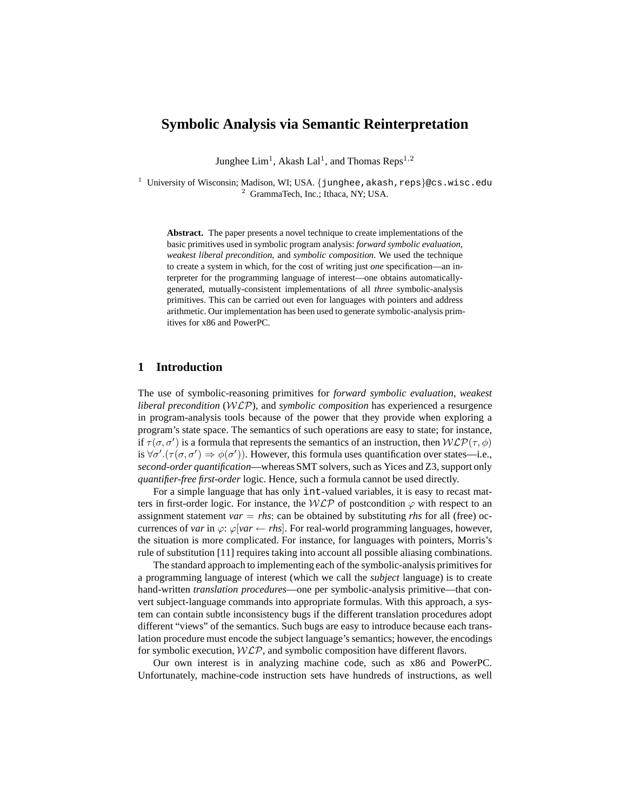# **Symbolic Analysis via Semantic Reinterpretation**

Junghee  $\mathrm{Lim}^1$ , Akash  $\mathrm{Lal}^1$ , and Thomas Reps<sup>1,2</sup>

 $1$  University of Wisconsin; Madison, WI; USA. {junghee, akash, reps}@cs.wisc.edu <sup>2</sup> GrammaTech, Inc.; Ithaca, NY; USA.

**Abstract.** The paper presents a novel technique to create implementations of the basic primitives used in symbolic program analysis: *forward symbolic evaluation*, *weakest liberal precondition*, and *symbolic composition*. We used the technique to create a system in which, for the cost of writing just *one* specification—an interpreter for the programming language of interest—one obtains automaticallygenerated, mutually-consistent implementations of all *three* symbolic-analysis primitives. This can be carried out even for languages with pointers and address arithmetic. Our implementation has been used to generate symbolic-analysis primitives for x86 and PowerPC.

# **1 Introduction**

The use of symbolic-reasoning primitives for *forward symbolic evaluation*, *weakest liberal precondition* (WLP), and *symbolic composition* has experienced a resurgence in program-analysis tools because of the power that they provide when exploring a program's state space. The semantics of such operations are easy to state; for instance, if  $\tau(\sigma, \sigma')$  is a formula that represents the semantics of an instruction, then  $WLP(\tau, \phi)$ is  $\forall \sigma'.(\tau(\sigma, \sigma') \Rightarrow \phi(\sigma'))$ . However, this formula uses quantification over states—i.e., *second-order quantification*—whereas SMT solvers, such as Yices and Z3, support only *quantifier-free first-order* logic. Hence, such a formula cannot be used directly.

For a simple language that has only int-valued variables, it is easy to recast matters in first-order logic. For instance, the  $WLP$  of postcondition  $\varphi$  with respect to an assignment statement *var*  $=$  *rhs*; can be obtained by substituting *rhs* for all (free) occurrences of *var* in  $\varphi$ :  $\varphi$ [*var* ← *rhs*]. For real-world programming languages, however, the situation is more complicated. For instance, for languages with pointers, Morris's rule of substitution [11] requires taking into account all possible aliasing combinations.

The standard approach to implementing each of the symbolic-analysis primitives for a programming language of interest (which we call the *subject* language) is to create hand-written *translation procedures*—one per symbolic-analysis primitive—that convert subject-language commands into appropriate formulas. With this approach, a system can contain subtle inconsistency bugs if the different translation procedures adopt different "views" of the semantics. Such bugs are easy to introduce because each translation procedure must encode the subject language's semantics; however, the encodings for symbolic execution,  $W\mathcal{LP}$ , and symbolic composition have different flavors.

Our own interest is in analyzing machine code, such as x86 and PowerPC. Unfortunately, machine-code instruction sets have hundreds of instructions, as well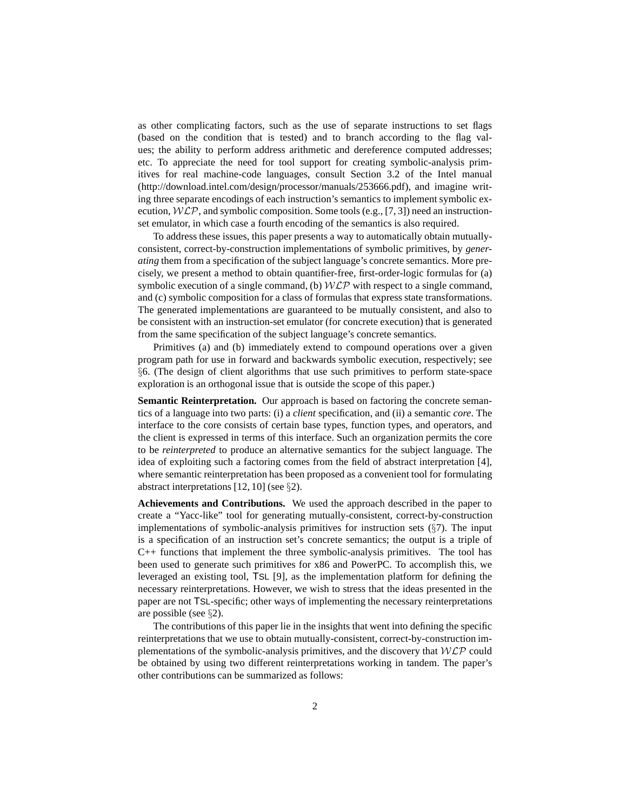as other complicating factors, such as the use of separate instructions to set flags (based on the condition that is tested) and to branch according to the flag values; the ability to perform address arithmetic and dereference computed addresses; etc. To appreciate the need for tool support for creating symbolic-analysis primitives for real machine-code languages, consult Section 3.2 of the Intel manual (http://download.intel.com/design/processor/manuals/253666.pdf), and imagine writing three separate encodings of each instruction's semantics to implement symbolic execution,  $WLP$ , and symbolic composition. Some tools (e.g., [7, 3]) need an instructionset emulator, in which case a fourth encoding of the semantics is also required.

To address these issues, this paper presents a way to automatically obtain mutuallyconsistent, correct-by-construction implementations of symbolic primitives, by *generating* them from a specification of the subject language's concrete semantics. More precisely, we present a method to obtain quantifier-free, first-order-logic formulas for (a) symbolic execution of a single command, (b)  $WLP$  with respect to a single command, and (c) symbolic composition for a class of formulas that express state transformations. The generated implementations are guaranteed to be mutually consistent, and also to be consistent with an instruction-set emulator (for concrete execution) that is generated from the same specification of the subject language's concrete semantics.

Primitives (a) and (b) immediately extend to compound operations over a given program path for use in forward and backwards symbolic execution, respectively; see §6. (The design of client algorithms that use such primitives to perform state-space exploration is an orthogonal issue that is outside the scope of this paper.)

**Semantic Reinterpretation.** Our approach is based on factoring the concrete semantics of a language into two parts: (i) a *client* specification, and (ii) a semantic *core*. The interface to the core consists of certain base types, function types, and operators, and the client is expressed in terms of this interface. Such an organization permits the core to be *reinterpreted* to produce an alternative semantics for the subject language. The idea of exploiting such a factoring comes from the field of abstract interpretation [4], where semantic reinterpretation has been proposed as a convenient tool for formulating abstract interpretations [12, 10] (see §2).

**Achievements and Contributions.** We used the approach described in the paper to create a "Yacc-like" tool for generating mutually-consistent, correct-by-construction implementations of symbolic-analysis primitives for instruction sets (§7). The input is a specification of an instruction set's concrete semantics; the output is a triple of C++ functions that implement the three symbolic-analysis primitives. The tool has been used to generate such primitives for x86 and PowerPC. To accomplish this, we leveraged an existing tool, TSL [9], as the implementation platform for defining the necessary reinterpretations. However, we wish to stress that the ideas presented in the paper are not TSL-specific; other ways of implementing the necessary reinterpretations are possible (see §2).

The contributions of this paper lie in the insights that went into defining the specific reinterpretations that we use to obtain mutually-consistent, correct-by-construction implementations of the symbolic-analysis primitives, and the discovery that  $W\mathcal{LP}$  could be obtained by using two different reinterpretations working in tandem. The paper's other contributions can be summarized as follows: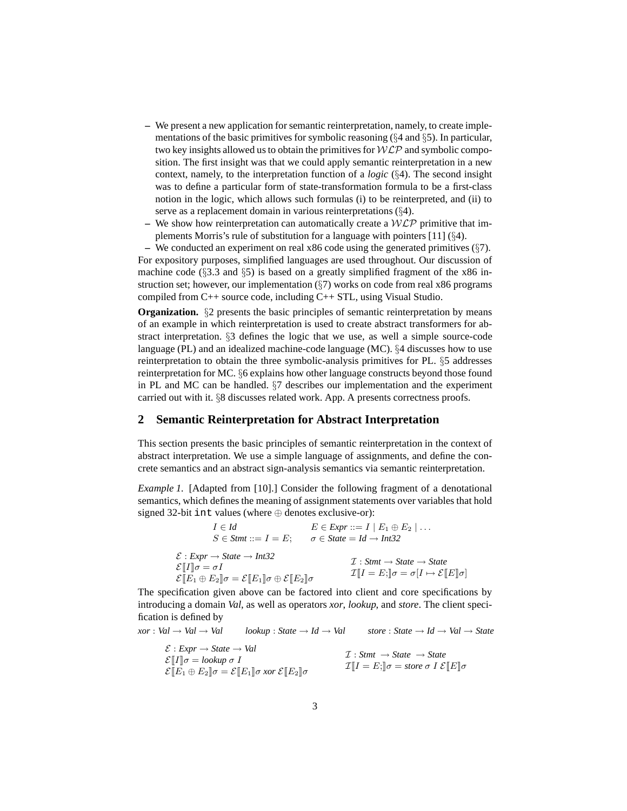- **–** We present a new application for semantic reinterpretation, namely, to create implementations of the basic primitives for symbolic reasoning  $(\S 4 \text{ and } \S 5)$ . In particular, two key insights allowed us to obtain the primitives for  $WLP$  and symbolic composition. The first insight was that we could apply semantic reinterpretation in a new context, namely, to the interpretation function of a *logic* (§4). The second insight was to define a particular form of state-transformation formula to be a first-class notion in the logic, which allows such formulas (i) to be reinterpreted, and (ii) to serve as a replacement domain in various reinterpretations (§4).
- We show how reinterpretation can automatically create a  $W\mathcal{LP}$  primitive that implements Morris's rule of substitution for a language with pointers [11] (§4).

**–** We conducted an experiment on real x86 code using the generated primitives (§7). For expository purposes, simplified languages are used throughout. Our discussion of machine code  $(\S3.3 \text{ and } \S5)$  is based on a greatly simplified fragment of the x86 instruction set; however, our implementation  $(\S7)$  works on code from real x86 programs compiled from C++ source code, including C++ STL, using Visual Studio.

**Organization.** §2 presents the basic principles of semantic reinterpretation by means of an example in which reinterpretation is used to create abstract transformers for abstract interpretation. §3 defines the logic that we use, as well a simple source-code language (PL) and an idealized machine-code language (MC). §4 discusses how to use reinterpretation to obtain the three symbolic-analysis primitives for PL. §5 addresses reinterpretation for MC. §6 explains how other language constructs beyond those found in PL and MC can be handled. §7 describes our implementation and the experiment carried out with it. §8 discusses related work. App. A presents correctness proofs.

# **2 Semantic Reinterpretation for Abstract Interpretation**

This section presents the basic principles of semantic reinterpretation in the context of abstract interpretation. We use a simple language of assignments, and define the concrete semantics and an abstract sign-analysis semantics via semantic reinterpretation.

*Example 1.* [Adapted from [10].] Consider the following fragment of a denotational semantics, which defines the meaning of assignment statements over variables that hold signed 32-bit int values (where ⊕ denotes exclusive-or):

$$
I \in Id
$$
  
\n
$$
E \in \text{Expr} ::= I \mid E_1 \oplus E_2 \mid \dots
$$
  
\n
$$
S \in \text{Stmt} ::= I = E;
$$
  
\n
$$
\sigma \in \text{State} = Id \rightarrow \text{Int32}
$$
  
\n
$$
\mathcal{E} : \text{Expr} \rightarrow \text{State} \rightarrow \text{Int32}
$$
  
\n
$$
\mathcal{E}[I] \sigma = \sigma I
$$
  
\n
$$
\mathcal{E}[E_1 \oplus E_2] \sigma = \mathcal{E}[E_1] \sigma \oplus \mathcal{E}[E_2] \sigma
$$
  
\n
$$
\mathcal{I}[I = E;] \sigma = \sigma[I \mapsto \mathcal{E}[E] \sigma]
$$

The specification given above can be factored into client and core specifications by introducing a domain *Val*, as well as operators *xor*, *lookup*, and *store*. The client specification is defined by

$$
xor: Val \to Val \to Val \t\t\t lookup : State \to Id \to Val \t\t \t store : State \to Id \to Val \to State
$$
\n
$$
\mathcal{E}: Expr \to State \to Val \t\t\t \mathcal{I}: Simt \to State \to State
$$
\n
$$
\mathcal{E}[[I] \sigma = lookup \sigma I \t\t\t\t \mathcal{I}][I = E; ]\sigma = store \sigma I \mathcal{E}[[E] \sigma
$$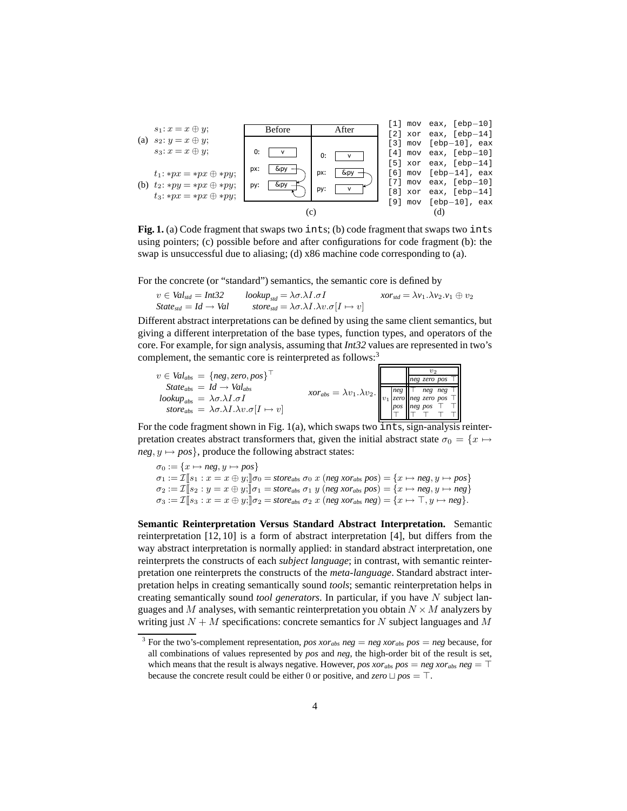

**Fig. 1.** (a) Code fragment that swaps two ints; (b) code fragment that swaps two ints using pointers; (c) possible before and after configurations for code fragment (b): the swap is unsuccessful due to aliasing; (d) x86 machine code corresponding to (a).

For the concrete (or "standard") semantics, the semantic core is defined by

$$
v \in Val_{std} = Int32 \qquad lookup_{std} = \lambda \sigma. \lambda I. \sigma I \qquad xor_{std} = \lambda v_1. \lambda v_2. v_1 \oplus v_2
$$
  
State<sub>std</sub> = Id \rightarrow Val \qquad store\_{std} = \lambda \sigma. \lambda I. \lambda v. \sigma [I \mapsto v]

Different abstract interpretations can be defined by using the same client semantics, but giving a different interpretation of the base types, function types, and operators of the core. For example, for sign analysis, assuming that *Int32* values are represented in two's complement, the semantic core is reinterpreted as follows:<sup>3</sup>

|                                                                                      |                                                                                                                                                                                                          |  | $v_2$                                     |  |
|--------------------------------------------------------------------------------------|----------------------------------------------------------------------------------------------------------------------------------------------------------------------------------------------------------|--|-------------------------------------------|--|
| $v \in Val_{abs} = \{neg, zero, pos\}$                                               |                                                                                                                                                                                                          |  | $ neg \space zero \space pos \space \top$ |  |
| $State_{abs} = Id \rightarrow Val_{abs}$                                             |                                                                                                                                                                                                          |  |                                           |  |
| $\ell_{\rm} = \lambda \sigma \Delta \Lambda \Delta \sigma I$                         | $\chi$ or <sub>abs</sub> = $\lambda v_1 \cdot \lambda v_2$ .<br>$v_1 \frac{\log \top \text{neg} \text{neg} \text{neg} \text{neg} \text{neg} \top}{\log \log \text{neg} \text{neg} \text{neg} \top \top}$ |  |                                           |  |
| store <sub>abs</sub> = $\lambda \sigma \Delta I \Delta v \cdot \sigma  I \mapsto v $ |                                                                                                                                                                                                          |  |                                           |  |
|                                                                                      |                                                                                                                                                                                                          |  |                                           |  |

For the code fragment shown in Fig.  $1(a)$ , which swaps two  $\overline{ints}$ , sign-analysis reinterpretation creates abstract transformers that, given the initial abstract state  $\sigma_0 = \{x \mapsto$  $neg, y \mapsto pos$ , produce the following abstract states:

 $\sigma_0 := \{x \mapsto neg, y \mapsto pos\}$  $\sigma_1 := \mathcal{I}[[s_1 : x = x \oplus y]]\sigma_0 = \textit{store}_{abs} \ \sigma_0 \ x \ (neg \ x_{obs} \ pos) = \{x \mapsto neg, y \mapsto pos\}$  $\sigma_2 := \mathcal{I}[[s_2 : y = x \oplus y;]] \sigma_1 = \text{store}_{abs} \sigma_1 y \text{ (neg words)} \sigma_2 = \{x \mapsto neg, y \mapsto neg\}$  $\sigma_3 := \mathcal{I} \llbracket s_3 : x = x \oplus y; \llbracket \sigma_2 = \textit{store}_{\textit{abs}} \; \sigma_2 \; x \; (\textit{neg} \; \textit{xor}_{\textit{abs}} \; \textit{neg}) = \{ x \mapsto \top, y \mapsto \textit{neg} \}.$ 

**Semantic Reinterpretation Versus Standard Abstract Interpretation.** Semantic reinterpretation [12, 10] is a form of abstract interpretation [4], but differs from the way abstract interpretation is normally applied: in standard abstract interpretation, one reinterprets the constructs of each *subject language*; in contrast, with semantic reinterpretation one reinterprets the constructs of the *meta-language*. Standard abstract interpretation helps in creating semantically sound *tools*; semantic reinterpretation helps in creating semantically sound *tool generators*. In particular, if you have N subject languages and M analyses, with semantic reinterpretation you obtain  $N \times M$  analyzers by writing just  $N + M$  specifications: concrete semantics for N subject languages and M

<sup>&</sup>lt;sup>3</sup> For the two's-complement representation, *pos xor<sub>abs</sub> neg* = *neg xor<sub>abs</sub> pos* = *neg* because, for all combinations of values represented by *pos* and *neg*, the high-order bit of the result is set, which means that the result is always negative. However, *pos xor<sub>abs</sub> pos* = *neg xor<sub>abs</sub> neg* =  $\top$ because the concrete result could be either 0 or positive, and  $zero \sqcup pos = \top$ .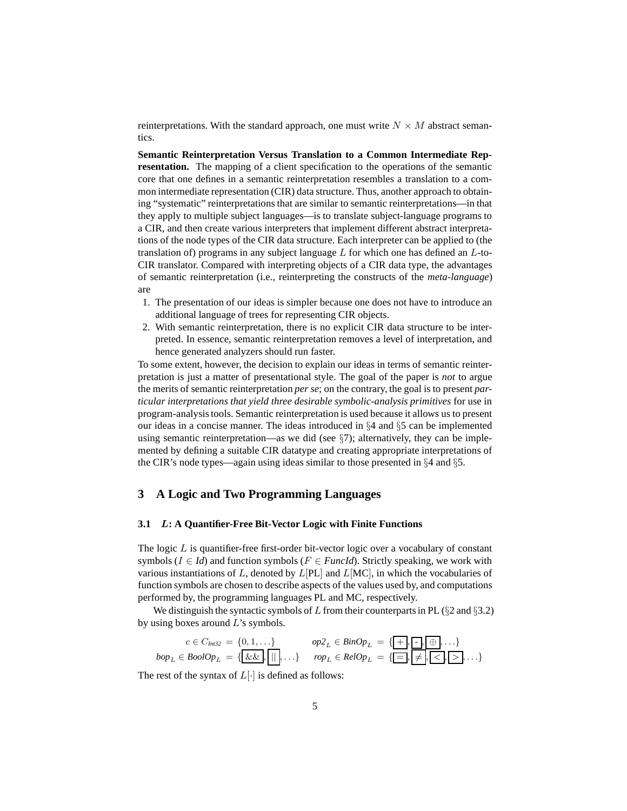reinterpretations. With the standard approach, one must write  $N \times M$  abstract semantics.

**Semantic Reinterpretation Versus Translation to a Common Intermediate Representation.** The mapping of a client specification to the operations of the semantic core that one defines in a semantic reinterpretation resembles a translation to a common intermediate representation (CIR) data structure. Thus, another approach to obtaining "systematic" reinterpretations that are similar to semantic reinterpretations—in that they apply to multiple subject languages—is to translate subject-language programs to a CIR, and then create various interpreters that implement different abstract interpretations of the node types of the CIR data structure. Each interpreter can be applied to (the translation of) programs in any subject language  $L$  for which one has defined an  $L$ -to-CIR translator. Compared with interpreting objects of a CIR data type, the advantages of semantic reinterpretation (i.e., reinterpreting the constructs of the *meta-language*) are

- 1. The presentation of our ideas is simpler because one does not have to introduce an additional language of trees for representing CIR objects.
- 2. With semantic reinterpretation, there is no explicit CIR data structure to be interpreted. In essence, semantic reinterpretation removes a level of interpretation, and hence generated analyzers should run faster.

To some extent, however, the decision to explain our ideas in terms of semantic reinterpretation is just a matter of presentational style. The goal of the paper is *not* to argue the merits of semantic reinterpretation *per se*; on the contrary, the goal is to present *particular interpretations that yield three desirable symbolic-analysis primitives* for use in program-analysis tools. Semantic reinterpretation is used because it allows us to present our ideas in a concise manner. The ideas introduced in §4 and §5 can be implemented using semantic reinterpretation—as we did (see  $\S7$ ); alternatively, they can be implemented by defining a suitable CIR datatype and creating appropriate interpretations of the CIR's node types—again using ideas similar to those presented in §4 and §5.

# **3 A Logic and Two Programming Languages**

#### **3.1** L**: A Quantifier-Free Bit-Vector Logic with Finite Functions**

The logic  $L$  is quantifier-free first-order bit-vector logic over a vocabulary of constant symbols ( $I \in Id$ ) and function symbols ( $F \in *FuncId*$ ). Strictly speaking, we work with various instantiations of L, denoted by  $L[PL]$  and  $L[MC]$ , in which the vocabularies of function symbols are chosen to describe aspects of the values used by, and computations performed by, the programming languages PL and MC, respectively.

We distinguish the syntactic symbols of L from their counterparts in PL ( $\S 2$  and  $\S 3.2$ ) by using boxes around  $L$ 's symbols.

$$
c \in C_{Int32} = \{0, 1, \ldots\} \qquad op2_L \in BinOp_L = \{ \underbrace{\{\cdot\}, \cdot \cdot \} \oplus \cdot \ldots \} \qquad \text{top}_L = \{ \underbrace{\cdot \cdot \cdot \cdot \} \oplus \cdot \ldots \} \qquad \text{top}_L \in \text{RelOp}_L = \{ \underbrace{\cdot \cdot \cdot \cdot \} \oplus \cdot \cdot \cdot \cdot \} \qquad \text{top}_L \in \text{RelOp}_L = \{ \underbrace{\cdot \cdot \cdot \} \oplus \cdot \cdot \cdot \} \qquad \text{top}_L \in \text{RelOp}_L = \{ \underbrace{\cdot \cdot \cdot \} \oplus \cdot \cdot \cdot \} \qquad \text{top}_L \in \text{RelOp}_L = \{ \underbrace{\cdot \cdot \cdot \} \oplus \cdot \cdot \cdot \} \qquad \text{top}_L \in \text{RelOp}_L = \{ \underbrace{\cdot \cdot \cdot \} \oplus \cdot \cdot \cdot \cdot \} \qquad \text{top}_L \in \text{RelOp}_L = \{ \underbrace{\cdot \cdot \cdot \} \oplus \cdot \cdot \cdot \cdot \} \qquad \text{top}_L \in \text{RelOp}_L = \{ \underbrace{\cdot \cdot \cdot \} \oplus \cdot \cdot \cdot \cdot \} \qquad \text{top}_L \in \text{RelOp}_L = \{ \underbrace{\cdot \cdot \cdot \} \oplus \cdot \cdot \cdot \cdot \} \qquad \text{top}_L \in \text{RelOp}_L = \{ \underbrace{\cdot \cdot \cdot \} \oplus \cdot \cdot \cdot \cdot \} \qquad \text{top}_L \in \text{RelOp}_L = \{ \underbrace{\cdot \cdot \cdot \} \oplus \cdot \cdot \cdot \cdot \} \qquad \text{top}_L \in \text{RelOp}_L = \{ \underbrace{\cdot \cdot \cdot \} \oplus \cdot \cdot \cdot \cdot \} \qquad \text{top}_L \in \text{RelOp}_L = \{ \underbrace{\cdot \cdot \cdot \} \oplus \cdot \cdot \cdot \cdot \} \qquad \text{top}_L \in \text{RelOp}_L = \{ \underbrace{\cdot \cdot \cdot \} \oplus \cdot \cdot \cdot \cdot \} \qquad \text{top}_L \in \text{RelOp}_L = \{ \underbrace{\cdot \cdot \cdot \} \oplus \cdot \cdot \cdot \cdot \} \qquad \text{top}_L \in \text{RelOp}_L = \{ \underbrace{\cdot \cdot \cdot \} \oplus \cdot \
$$

The rest of the syntax of  $L[\cdot]$  is defined as follows: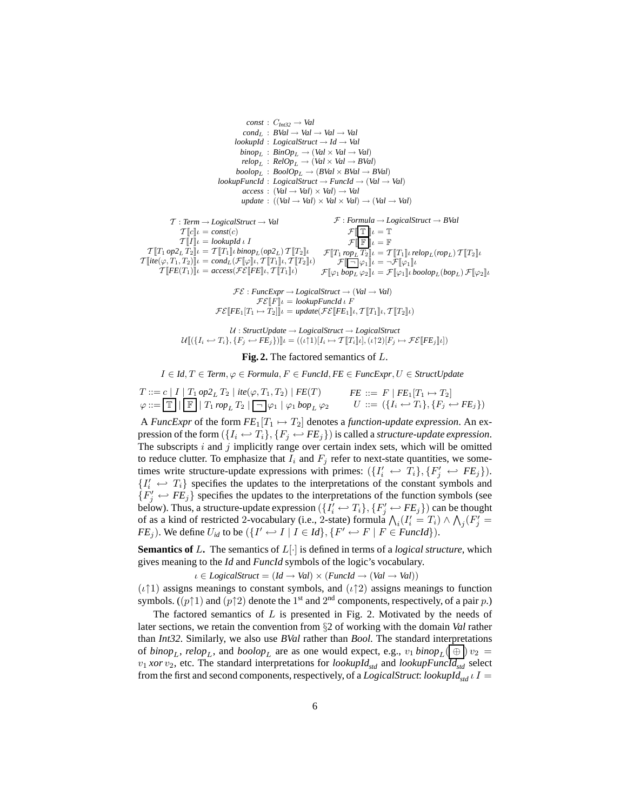$$
const: C_{ln32} \rightarrow Val
$$
  
\n
$$
cond_L: BVal \rightarrow Val \rightarrow Val \rightarrow Val
$$
  
\n
$$
lookupId: LogicalStruct \rightarrow Id \rightarrow Val
$$
  
\n
$$
binop_L: BinOp_L \rightarrow (Val \times Val \rightarrow Val)
$$
  
\n
$$
relop_L: RelOp_L \rightarrow (Val \times Val \rightarrow BVal)
$$
  
\n
$$
boolop_L: BoolOp_L \rightarrow (BVal \times BVal \rightarrow BVal)
$$
  
\n
$$
bookupFuncd: LogicalStruct \rightarrow Funcd \rightarrow (Val \rightarrow Val)
$$
  
\n
$$
access: (Val \rightarrow Val) \times Val) \rightarrow Val
$$
  
\n
$$
access: ((Val \rightarrow Val) \times Val) \rightarrow (Val \rightarrow Val)
$$
  
\n
$$
T: Term \rightarrow LogicalStruct \rightarrow Val
$$
  
\n
$$
T[[cl] \iota = const(c)
$$
  
\n
$$
T[[T] \iota = lookupId \iota I
$$
  
\n
$$
T[[T] \iota = L([T_1] \iota \cdot binop_L(op2_L) T[[T_2] \iota] \qquad F[[T_1 \iotaop_LT_2] \iota] = T[[T_1] \iota \cdot relop_L(row_L) T[[T_2] \iota]
$$
  
\n
$$
T[[tr] \iota = cont_L(F[[\varphi] \iota, T[[T_1] \iota, T[[T_2] \iota]) \qquad F[[T_1 \iotaop_LT_2] \iota] = T[[T_1] \iota \cdot relop_L(row_L) T[[T_2] \iota]
$$
  
\n
$$
T[[FET(T_1)] \iota] = access(FE[[FE] \iota, T[[T_1] \iota) \qquad F[[\varphi_1] \iota] = \neg F[\varphi_1] \iota
$$
  
\n
$$
T[E \in (T_1) \iota] = access(FE[[FE] \iota, T[[T_1] \iota) \qquad F[[\varphi_1] \iota] = T[[\varphi_1] \iota] \wedge [top_L) \iota]
$$
  
\n
$$
F \in \text{funcExpr} \rightarrow LogicalStruct \rightarrow (Val \rightarrow Val)
$$

 $\mathcal{FE}[[F]]\iota = \text{lookupFunct } \iota \iota$  F<br> $F \circ \iota$  $\mathcal{F}\mathcal{E}[\![FE_1[T_1 \mapsto T_2]\!] \iota = update(\mathcal{F}\mathcal{E}[\![FE_1]\!] \iota, \mathcal{T}[\![T_1]\!] \iota, \mathcal{T}[\![T_2]\!] \iota)$ 

$$
\mathcal{U}: StructUpdate \rightarrow LogicalStructure \rightarrow LogicalStructure \newline \mathcal{U}[\{\{I_i \leftarrow T_i\}, \{F_j \leftarrow FE_j\}\}] \newline \mathcal{U} = ((\iota \uparrow 1)[I_i \mapsto \mathcal{T}[\![T_i]\!] \newline \mathcal{U}, (\iota \uparrow 2)[F_j \mapsto \mathcal{FE}[\![FE_j]\!] \newline \mathcal{U}]
$$

#### **Fig. 2.** The factored semantics of L.

I ∈ *Id*, T ∈ *Term*, ϕ ∈ *Formula*, F ∈ *FuncId*, *FE* ∈ *FuncExpr*, U ∈ *StructUpdate*

$$
T ::= c | I | T_1 op2_L T_2 | \text{ite}(\varphi, T_1, T_2) | FE(T) \qquad FE ::= F | FE_1[T_1 \mapsto T_2]
$$
  

$$
\varphi ::= \boxed{\mathbb{T}} | \boxed{\mathbb{F}} | T_1rop_L T_2 | \boxed{\neg} \varphi_1 | \varphi_1 \text{ bop}_L \varphi_2 \qquad U ::= (\{I_i \leftrightarrow T_i\}, \{F_j \leftrightarrow FE_j\})
$$

A *FuncExpr* of the form  $FE_1[T_1 \mapsto T_2]$  denotes a *function-update expression*. An expression of the form  $({I_i \leftrightarrow T_i}, {F_i \leftrightarrow FE_i})$  is called a *structure-update expression*. The subscripts  $i$  and  $j$  implicitly range over certain index sets, which will be omitted to reduce clutter. To emphasize that  $I_i$  and  $F_j$  refer to next-state quantities, we sometimes write structure-update expressions with primes:  $(\lbrace I'_i \leftrightarrow T_i \rbrace, \lbrace F'_j \leftrightarrow FE_j \rbrace)$ .  $\{I'_i \leftrightarrow T_i\}$  specifies the updates to the interpretations of the constant symbols and  ${F'_j \leftrightarrow FE_j}$  specifies the updates to the interpretations of the function symbols (see below). Thus, a structure-update expression  $(\{I'_i \leftrightarrow T_i\}, \{F'_j \leftrightarrow FE_j\})$  can be thought of as a kind of restricted 2-vocabulary (i.e., 2-state) formula  $\bigwedge_i (I'_i = T_i) \wedge \bigwedge_j (F'_j =$ *FE<sub>j</sub>*). We define  $U_{id}$  to be  $({I' \leftrightarrow I | I \in Id}, {F' \leftrightarrow F | F \in Funcld}).$ 

**Semantics of L.** The semantics of  $L[\cdot]$  is defined in terms of a *logical structure*, which gives meaning to the *Id* and *FuncId* symbols of the logic's vocabulary.

 $\iota \in LogicalStruct = (Id \rightarrow Val) \times (Fund \rightarrow (Val \rightarrow Val))$ 

 $(\iota \uparrow 1)$  assigns meanings to constant symbols, and  $(\iota \uparrow 2)$  assigns meanings to function symbols.  $((p\uparrow 1)$  and  $(p\uparrow 2)$  denote the 1<sup>st</sup> and 2<sup>nd</sup> components, respectively, of a pair p.)

The factored semantics of  $L$  is presented in Fig. 2. Motivated by the needs of later sections, we retain the convention from §2 of working with the domain *Val* rather than *Int32*. Similarly, we also use *BVal* rather than *Bool*. The standard interpretations of *binop<sub>L</sub>*, *relop<sub>L</sub>*, and *boolop<sub>L</sub>* are as one would expect, e.g.,  $v_1$  *binop<sub>L</sub>*( $\oplus$ )  $v_2$  =  $v_1$  *xor*  $v_2$ , etc. The standard interpretations for *lookupId<sub>std</sub>* and *lookupFuncId<sub>std</sub>* select from the first and second components, respectively, of a *LogicalStruct*: *lookupIdstd* ιI =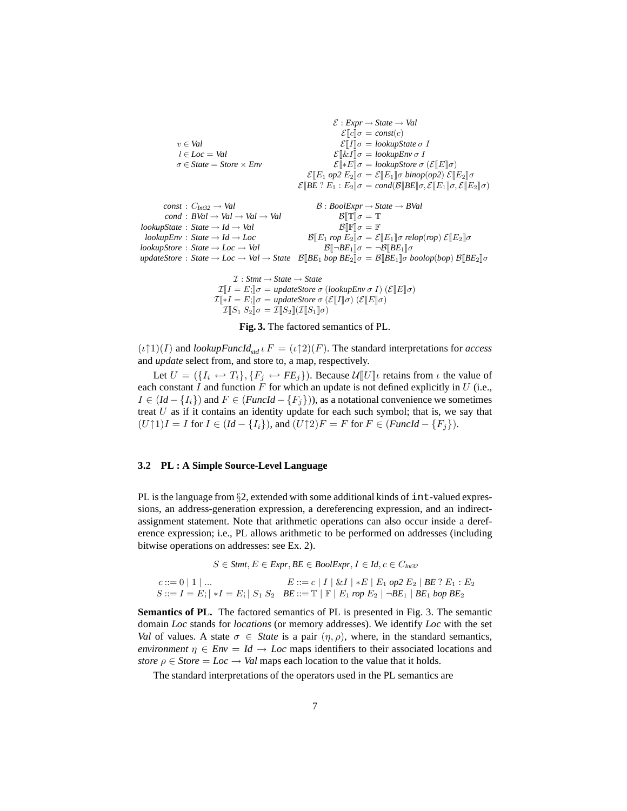$$
\mathcal{E}: \mathit{Expr} \to \mathit{State} \to \mathit{Val}
$$
\n
$$
\mathcal{E}[\![\![\![\![\![\![\!]\!] \sigma = \mathit{const}(c)]\]
$$
\n
$$
\mathcal{E}[\![\![\![\![\!]\!] \sigma = \mathit{lookupState} \sigma \ I
$$
\n
$$
\mathcal{E}[\![\![\mathcal{E}]\!] \sigma = \mathit{lookupState} \sigma \ I
$$
\n
$$
\mathcal{E}[\![\mathcal{E}1]\!] \sigma = \mathit{lookupFlow} \sigma \ I
$$
\n
$$
\mathcal{E}[\![\mathcal{E}1]\!] \sigma = \mathit{lookupEv} \sigma \ I
$$
\n
$$
\mathcal{E}[\![\mathcal{E}1]\!] \sigma = \mathit{lookupFor} \sigma \ (\mathcal{E}[\![\![\![\!]\!] \sigma)
$$
\n
$$
\mathcal{E}[\![\!]\!] \sigma = \mathit{lookupStore} \sigma \ (\mathcal{E}[\![\!]\!] \sigma)
$$
\n
$$
\mathcal{E}[\![\!]\!] \mathcal{B} \mathcal{E} \mathcal{E} \mathcal{E} \mathcal{E} \mathcal{E} \mathcal{E} \mathcal{E} \mathcal{E} \mathcal{E} \mathcal{E} \mathcal{E} \mathcal{E} \mathcal{E} \mathcal{E} \mathcal{E} \mathcal{E} \mathcal{E} \mathcal{E} \mathcal{E} \mathcal{E} \mathcal{E} \mathcal{E} \mathcal{E} \mathcal{E} \mathcal{E} \mathcal{E} \mathcal{E} \mathcal{E} \mathcal{E} \mathcal{E} \mathcal{E} \mathcal{E} \mathcal{E} \mathcal{E} \mathcal{E} \mathcal{E} \mathcal{E} \mathcal{E} \mathcal{E} \mathcal{E} \mathcal{E} \mathcal{E} \mathcal{E} \mathcal{E} \mathcal{E} \mathcal{E} \mathcal{E} \mathcal{E} \mathcal{E} \mathcal{E} \mathcal{E} \mathcal{E} \mathcal{E} \mathcal{E} \mathcal{E} \mathcal{E} \mathcal{E} \mathcal{E} \mathcal{E} \mathcal{E} \mathcal{E} \mathcal{E} \mathcal{E} \mathcal{E} \mathcal{E} \mathcal{E
$$

 $\mathcal{I}: S$ *tmt*  $\rightarrow$  *State*  $\rightarrow$  *State*  $\mathcal{I}[[I = E;]]\sigma = updateStore \sigma (lookupEnv \sigma I) (\mathcal{E}[[E]]\sigma)$  $\mathcal{I}[\bar{*}I = E; \bar{\sigma}] = \text{updateStore } \sigma \left( \mathcal{E}[\![I]\!]\sigma \right) \left( \mathcal{E}[\![E]\!]\sigma \right)$  $\mathcal{I}\llbracket S_1\,S_2\rrbracket \sigma = \mathcal{I}\llbracket S_2\rrbracket(\mathcal{I}\llbracket S_1\rrbracket \sigma)$ 

**Fig. 3.** The factored semantics of PL.

 $(\iota\uparrow 1)(I)$  and *lookupFuncId*<sub>std</sub>  $\iota F = (\iota\uparrow 2)(F)$ . The standard interpretations for *access* and *update* select from, and store to, a map, respectively.

Let  $U = (\{I_i \leftrightarrow T_i\}, \{F_j \leftrightarrow FE_j\})$ . Because  $\mathcal{U}[[U]]\iota$  retains from  $\iota$  the value of each constant  $I$  and function  $F$  for which an update is not defined explicitly in  $U$  (i.e.,  $I \in (Id - \{I_i\})$  and  $F \in (Fund - \{F_j\})$ , as a notational convenience we sometimes treat  $U$  as if it contains an identity update for each such symbol; that is, we say that  $(U\uparrow 1)I = I$  for  $I \in (Id - \{I_i\})$ , and  $(U\uparrow 2)F = F$  for  $F \in (Fund - \{F_i\})$ .

### **3.2 PL : A Simple Source-Level Language**

PL is the language from  $\S2$ , extended with some additional kinds of int-valued expressions, an address-generation expression, a dereferencing expression, and an indirectassignment statement. Note that arithmetic operations can also occur inside a dereference expression; i.e., PL allows arithmetic to be performed on addresses (including bitwise operations on addresses: see Ex. 2).

$$
S \in \text{Strat, } E \in \text{Expr, } BE \in \text{BoolExpr, } I \in Id, c \in C_{\text{Int32}}
$$
\n
$$
c ::= 0 \mid 1 \mid \dots
$$
\n
$$
E ::= c \mid I \mid \& I \mid *E \mid E_1 \text{ op2 } E_2 \mid BE \text{ ? } E_1 : E_2
$$
\n
$$
S ::= I = E; \mid *I = E; \mid S_1 \text{ S}_2 \quad BE ::= \mathbb{T} \mid \mathbb{F} \mid E_1 \text{rop } E_2 \mid \neg BE_1 \mid BE_1 \text{ hop } BE_2
$$

**Semantics of PL.** The factored semantics of PL is presented in Fig. 3. The semantic domain *Loc* stands for *locations* (or memory addresses). We identify *Loc* with the set *Val* of values. A state  $\sigma \in$  *State* is a pair  $(\eta, \rho)$ , where, in the standard semantics, *environment*  $\eta \in E$ *nv* = *Id*  $\rightarrow$  *Loc* maps identifiers to their associated locations and *store*  $\rho \in \text{Store} = \text{Loc} \rightarrow \text{Val}$  maps each location to the value that it holds.

The standard interpretations of the operators used in the PL semantics are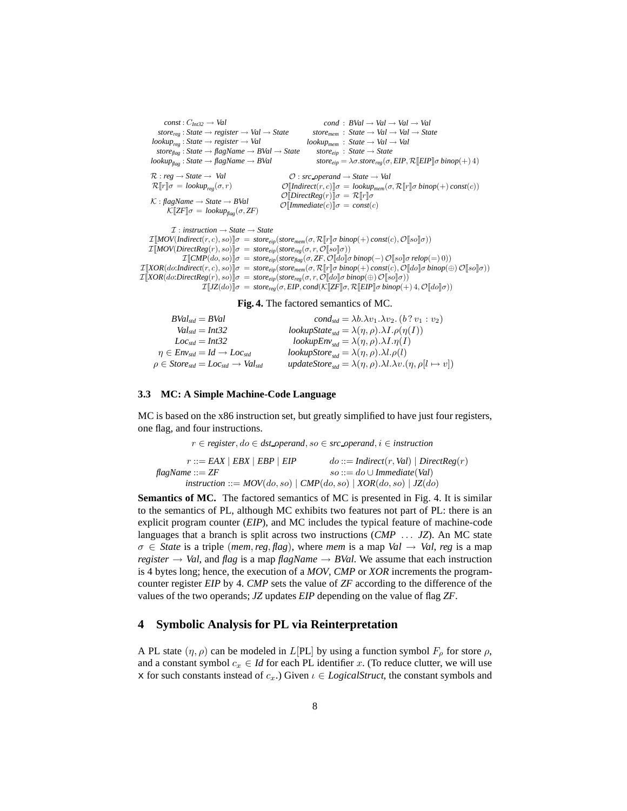$const: C_{Int32} \rightarrow Val$ *storereg* : *State* → *register* → *Val* → *State lookupreg* : *State* → *register* → *Val storeflag* : *State* → *flagName* → *BVal* → *State*  $lookup_{\text{flap}}$ : *State*  $\rightarrow$  *flagName*  $\rightarrow$  *BVal*  $cond : BVal \rightarrow Val \rightarrow Val \rightarrow Val$  $store_{mem}$ :  $State \rightarrow Val \rightarrow Val \rightarrow State$ *lookupmem* : *State* → *Val* → *Val storeeip* : *State* → *State store*<sub>*eip*</sub> =  $\lambda \sigma$ *.store*<sub>*reg*</sub>( $\sigma$ *, EIP*,  $\mathcal{R}$ [*EIP*]] $\sigma$ *binop*(+)4)  $\mathcal{R}: \textit{reg} \rightarrow \textit{State} \rightarrow \textit{Val}$  $\mathcal{R}[\![r]\!] \sigma = \text{lookup}_{\text{reg}}(\sigma, r)$ K : *flagName* → *State* → *BVal*  $\mathcal{K}\llbracket ZF \rrbracket \sigma = \text{lookup}_{\text{flag}}(\sigma, ZF)$  $\mathcal{O}:$  *src\_operand*  $\rightarrow$  *State*  $\rightarrow$  *Val*  $\mathcal{O}[\text{Indirect}(r, c)]\sigma = \text{lookup}_{mem}(\sigma, \mathcal{R}[\![r]\!]\sigma \text{ binop}(+) \text{ const}(c))$  $\mathcal{O}[\text{DirectReg}(r)]\sigma = \mathcal{R}[[r]]\sigma$  $\mathcal{O}$ *[Immediate(c)]* $\sigma = const(c)$ I : *instruction* → *State* → *State*  $\mathcal{I}[\text{MOV}(\text{Indirect}(r, c), so)]\sigma = store_{eip}(\text{store}_{mem}(\sigma, \mathcal{R}[\![r]\!] \sigma \text{ binop}(+) \text{ const}(c), \mathcal{O}[\![so]\!] \sigma))$  $\mathcal{I}[\text{MOV}(\text{DirectReg}(r), so)]\sigma = store_{eip}(\text{store}_{reg}(\sigma, r, \mathcal{O}[\hspace{-0.05cm}[so]\hspace{-0.05cm}]\sigma))$  $\mathcal{I}\llbracket \textit{CMP}(do, so)\rrbracket \sigma = \textit{store}_{\textit{elp}}(\textit{store}_{\textit{flag}}(\sigma, \textit{ZF}, \mathcal{O}\llbracket do \rrbracket \sigma \textit{binop}(-) \mathcal{O}\llbracket \textit{so} \rrbracket \sigma \textit{relop}(-)0))$  $\mathcal{I}\llbracket XOR(do:Indirect(r, c), so) \rrbracket \sigma = store_{eip}(store_{mem}(\sigma, \mathcal{R}\llbracket r \rrbracket \sigma \; binop(+) \; const(c), \mathcal{O}\llbracket do \rrbracket \sigma \; binop(\oplus) \, \mathcal{O}\llbracket so \rrbracket \sigma))$  $\mathcal{I}[\![XOR(d\sigma:DirectReg(r), so]\!] \sigma = store_{eip}(store_{reg}(\sigma, r, \mathcal{O}[\![do]\!] \sigma \, binop(\oplus) \, \mathcal{O}[\![so]\!] \sigma))$ 

 $\mathcal{I}[\![\mathit{JZ}(do)]\!] \sigma = \mathit{store}_{\mathit{reg}}(\sigma, \mathit{EIP}, \mathit{cond}(\mathcal{K}[\![\mathit{ZF}]\!] \sigma, \mathcal{R}[\![\mathit{EIP}]\!] \sigma \mathit{binop}(+) \, 4, \mathcal{O}[\![do]\!] \sigma))$ 

#### **Fig. 4.** The factored semantics of MC.

| $BVal_{std} = BVal$                                                                                            | $cond_{std} = \lambda b.\lambda v_1.\lambda v_2. (b ? v_1 : v_2)$                                                                |
|----------------------------------------------------------------------------------------------------------------|----------------------------------------------------------------------------------------------------------------------------------|
| $Val_{std} = Int32$                                                                                            | lookupState <sub>std</sub> = $\lambda(\eta, \rho) \cdot \lambda I \cdot \rho(\eta(I))$                                           |
| $Loc_{std} = Int32$                                                                                            | lookupEnv <sub>std</sub> = $\lambda(\eta, \rho) \cdot \lambda I \cdot \eta(I)$                                                   |
| $\eta \in Env_{std} = Id \rightarrow Loc_{std}$                                                                | <i>lookupStore</i> <sub>std</sub> = $\lambda(\eta, \rho) \cdot \lambda l \cdot \rho(l)$                                          |
| $\rho \in \textit{Store}_{\textit{std}} = \textit{Loc}_{\textit{std}} \rightarrow \textit{Val}_{\textit{std}}$ | <i>updateStore</i> <sub><i>std</i></sub> = $\lambda(\eta, \rho) \cdot \lambda l \cdot \lambda v \cdot (\eta, \rho[l \mapsto v])$ |

#### **3.3 MC: A Simple Machine-Code Language**

MC is based on the x86 instruction set, but greatly simplified to have just four registers, one flag, and four instructions.

r ∈ *register*, do ∈ *dst operand*, so ∈ *src operand*, i ∈ *instruction*  $r ::= EAX \mid EBX \mid EBP \mid EIP$ *flagName* ::= *ZF*  $do ::= Indirect(r, Val) | DirectReg(r)$ so ::= do ∪ *Immediate*(*Val*)  $instruction ::= MOV(do, so) | CMP(do, so) | XOR(do, so) | JZ(do)$ 

**Semantics of MC.** The factored semantics of MC is presented in Fig. 4. It is similar to the semantics of PL, although MC exhibits two features not part of PL: there is an explicit program counter (*EIP*), and MC includes the typical feature of machine-code languages that a branch is split across two instructions (*CMP* . . . *JZ*). An MC state  $\sigma \in$  *State* is a triple (*mem, reg, flag*), where *mem* is a map *Val*  $\rightarrow$  *Val, reg* is a map *register*  $\rightarrow$  *Val*, and *flag* is a map *flagName*  $\rightarrow$  *BVal*. We assume that each instruction is 4 bytes long; hence, the execution of a *MOV*, *CMP* or *XOR* increments the programcounter register *EIP* by 4. *CMP* sets the value of *ZF* according to the difference of the values of the two operands; *JZ* updates *EIP* depending on the value of flag *ZF*.

# **4 Symbolic Analysis for PL via Reinterpretation**

A PL state  $(\eta, \rho)$  can be modeled in L[PL] by using a function symbol  $F_\rho$  for store  $\rho$ , and a constant symbol  $c_x \in Id$  for each PL identifier x. (To reduce clutter, we will use x for such constants instead of  $c_x$ .) Given  $\iota \in LogicalStruct$ , the constant symbols and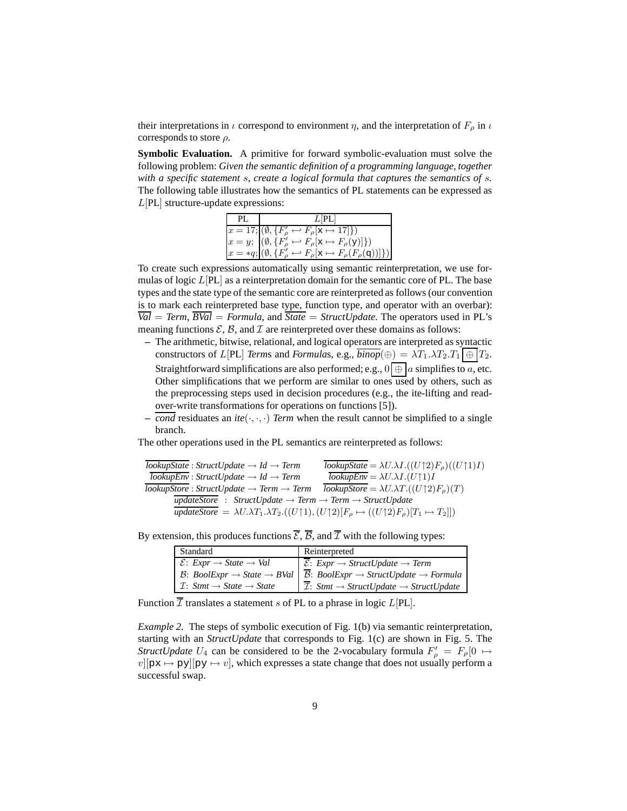their interpretations in  $\iota$  correspond to environment  $\eta$ , and the interpretation of  $F_{\rho}$  in  $\iota$ corresponds to store  $\rho$ .

**Symbolic Evaluation.** A primitive for forward symbolic-evaluation must solve the following problem: *Given the semantic definition of a programming language, together with a specific statement* s*, create a logical formula that captures the semantics of* s*.* The following table illustrates how the semantics of PL statements can be expressed as L[PL] structure-update expressions:

| PL | $L$ $PL$                                                                                                                                                                                                                                                                                                          |
|----|-------------------------------------------------------------------------------------------------------------------------------------------------------------------------------------------------------------------------------------------------------------------------------------------------------------------|
|    | $x = 17; (\emptyset, \{F'_{\rho} \leftrightarrow F_{\rho}[\mathbf{x} \mapsto 17]\})$<br>$x = y; (\emptyset, \{F'_{\rho} \leftrightarrow F_{\rho}[\mathbf{x} \mapsto F_{\rho}(\mathbf{y})]\})$<br>$x = *q; (\emptyset, \{F'_{\rho} \leftrightarrow F_{\rho}[\mathbf{x} \mapsto F_{\rho}(F_{\rho}(\mathbf{q}))]\})$ |
|    |                                                                                                                                                                                                                                                                                                                   |
|    |                                                                                                                                                                                                                                                                                                                   |

To create such expressions automatically using semantic reinterpretation, we use formulas of logic  $L[PL]$  as a reinterpretation domain for the semantic core of PL. The base types and the state type of the semantic core are reinterpreted as follows (our convention is to mark each reinterpreted base type, function type, and operator with an overbar):  $\overline{Val}$  = *Term*,  $\overline{BVal}$  = *Formula*, and  $\overline{State}$  = *StructUpdate*. The operators used in PL's meaning functions  $\mathcal{E}, \mathcal{B}$ , and  $\mathcal{I}$  are reinterpreted over these domains as follows:

- **–** The arithmetic, bitwise, relational, and logical operators are interpreted as syntactic constructors of L[PL] *Terms* and *Formulas*, e.g.,  $\overline{binop}(\oplus) = \lambda T_1 \cdot \lambda T_2 \cdot T_1 \cdot \oplus \cdot T_2$ . Straightforward simplifications are also performed; e.g.,  $0 \mid \oplus \mid a$  simplifies to a, etc. Other simplifications that we perform are similar to ones used by others, such as the preprocessing steps used in decision procedures (e.g., the ite-lifting and readover-write transformations for operations on functions [5]).
- $\overline{\text{cond}}$  residuates an *ite*( $\cdot$ ,  $\cdot$ ,  $\cdot$ ) *Term* when the result cannot be simplified to a single branch.

The other operations used in the PL semantics are reinterpreted as follows:

$$
\overline{lookupState} : StructUpdate \rightarrow Id \rightarrow Term
$$
\n
$$
\overline{lookupEnv} : StructUpdate \rightarrow Id \rightarrow Term
$$
\n
$$
\overline{lookupEnv} = \lambda U. \lambda I. ((U \uparrow 2) F_{\rho})((U \uparrow 1) I)
$$
\n
$$
\overline{lookupStore} : StructUpdate \rightarrow Term \rightarrow Term
$$
\n
$$
\overline{lookupStore} = \lambda U. \lambda T. ((U \uparrow 2) F_{\rho})(T)
$$
\n
$$
\overline{updateStore} : StructUpdate \rightarrow Term \rightarrow Term \rightarrow StructureUpdate
$$
\n
$$
\overline{updateStore} = \lambda U. \lambda T_1. \lambda T_2. ((U \uparrow 1), (U \uparrow 2) [F_{\rho} \mapsto ((U \uparrow 2) F_{\rho}) [T_1 \mapsto T_2]])
$$

By extension, this produces functions  $\overline{\mathcal{E}}, \overline{\mathcal{B}},$  and  $\overline{\mathcal{I}}$  with the following types:

| Standard                                                                             | Reinterpreted                                                                                                                                 |
|--------------------------------------------------------------------------------------|-----------------------------------------------------------------------------------------------------------------------------------------------|
| $\mathcal{E}: \text{Expr} \rightarrow \text{State} \rightarrow \text{Val}$           | $\overline{\mathcal{E}}$ : Expr $\rightarrow$ StructUpdate $\rightarrow$ Term                                                                 |
|                                                                                      | $\beta$ : BoolExpr $\rightarrow$ State $\rightarrow$ BVal $\mid \overline{\beta}$ : BoolExpr $\rightarrow$ StructUpdate $\rightarrow$ Formula |
| $\perp$ <i>T</i> : <i>Stmt</i> $\rightarrow$ <i>State</i> $\rightarrow$ <i>State</i> | $\mathcal{I}: S$ tmt $\rightarrow$ StructUpdate $\rightarrow$ StructUpdate                                                                    |

Function  $\overline{\mathcal{I}}$  translates a statement s of PL to a phrase in logic L[PL].

*Example 2.* The steps of symbolic execution of Fig. 1(b) via semantic reinterpretation, starting with an *StructUpdate* that corresponds to Fig. 1(c) are shown in Fig. 5. The *StructUpdate*  $U_4$  can be considered to be the 2-vocabulary formula  $F'_\rho = F_\rho[0 \rightarrow$  $v[px \mapsto py][py \mapsto v]$ , which expresses a state change that does not usually perform a successful swap.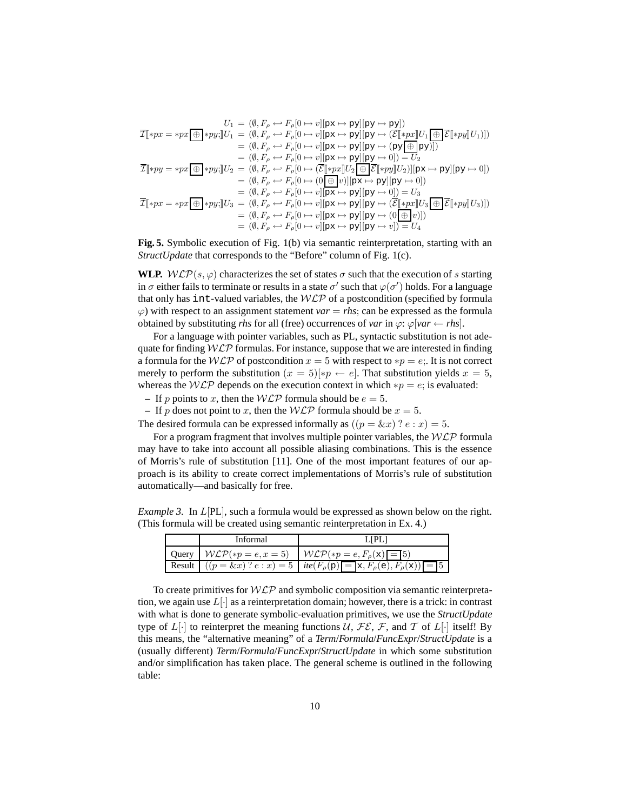$$
U_1 = (\emptyset, F_\rho \leftrightarrow F_\rho[0 \rightarrow v][\mathbf{p} \mathbf{x} \rightarrow \mathbf{p} \mathbf{y}]](\mathbf{p} \mathbf{y} \rightarrow \mathbf{p} \mathbf{y}])
$$
  
\n
$$
\overline{\mathcal{I}}[\ast px = \ast px \overline{\oplus} [\ast py] \cdot] U_1 = (\emptyset, F_\rho \leftrightarrow F_\rho[0 \rightarrow v][\mathbf{p} \mathbf{x} \rightarrow \mathbf{p} \mathbf{y}][\mathbf{p} \mathbf{y} \rightarrow (\overline{\mathcal{E}}[\ast px]U_1 \overline{\oplus} \overline{\mathcal{E}}[\ast py]U_1)])
$$
  
\n
$$
= (\emptyset, F_\rho \leftrightarrow F_\rho[0 \rightarrow v][\mathbf{p} \mathbf{x} \rightarrow \mathbf{p} \mathbf{y}][\mathbf{p} \mathbf{y} \rightarrow (\mathbf{p} \mathbf{y} \overline{\oplus} \mathbf{p} \mathbf{y})])
$$
  
\n
$$
= (\emptyset, F_\rho \leftrightarrow F_\rho[0 \rightarrow v][\mathbf{p} \mathbf{x} \rightarrow \mathbf{p} \mathbf{y}][\mathbf{p} \mathbf{y} \rightarrow 0]) = U_2
$$
  
\n
$$
\overline{\mathcal{I}}[\ast py = \ast px \overline{\oplus} [\ast py] \cdot] U_2 = (\emptyset, F_\rho \leftrightarrow F_\rho[0 \rightarrow (\overline{\mathcal{E}}[\ast px]U_2 \overline{\oplus} \overline{\mathcal{E}}[\ast py]U_2)][\mathbf{p} \mathbf{x} \rightarrow \mathbf{p} \mathbf{y}][\mathbf{p} \mathbf{y} \rightarrow 0])
$$
  
\n
$$
= (\emptyset, F_\rho \leftrightarrow F_\rho[0 \rightarrow (0 \overline{\oplus} \mathbf{p})][\mathbf{p} \mathbf{x} \rightarrow \mathbf{p} \mathbf{y}][\mathbf{p} \mathbf{y} \rightarrow 0])
$$
  
\n
$$
= (\emptyset, F_\rho \leftrightarrow F_\rho[0 \rightarrow v][\mathbf{p} \mathbf{x} \rightarrow \mathbf{p} \mathbf{y}][\mathbf{p} \mathbf{y} \rightarrow 0]) = U_3
$$
  
\n
$$
\overline{\mathcal{I}}[\ast px = \ast px \overline{\oplus} [\ast py] \cdot] U_3 = (\emptyset, F
$$

**Fig. 5.** Symbolic execution of Fig. 1(b) via semantic reinterpretation, starting with an *StructUpdate* that corresponds to the "Before" column of Fig. 1(c).

**WLP.**  $W\mathcal{LP}(s, \varphi)$  characterizes the set of states  $\sigma$  such that the execution of s starting in  $\sigma$  either fails to terminate or results in a state  $\sigma'$  such that  $\varphi(\sigma')$  holds. For a language that only has int-valued variables, the  $W\mathcal{LP}$  of a postcondition (specified by formula  $\varphi$ ) with respect to an assignment statement *var* = *rhs*; can be expressed as the formula obtained by substituting *rhs* for all (free) occurrences of *var* in  $\varphi$ :  $\varphi$ [*var* ← *rhs*].

For a language with pointer variables, such as PL, syntactic substitution is not adequate for finding  $W\mathcal{L}P$  formulas. For instance, suppose that we are interested in finding a formula for the WLP of postcondition  $x = 5$  with respect to  $*p = e$ ;. It is not correct merely to perform the substitution  $(x = 5)[np \leftarrow e]$ . That substitution yields  $x = 5$ , whereas the WLP depends on the execution context in which  $*p = e$ ; is evaluated:

**–** If p points to x, then the  $W\mathcal{LP}$  formula should be  $e = 5$ .

**–** If p does not point to x, then the  $W\mathcal{LP}$  formula should be  $x = 5$ .

The desired formula can be expressed informally as  $((p = \& x)$  ?  $e : x) = 5$ .

For a program fragment that involves multiple pointer variables, the  $WLP$  formula may have to take into account all possible aliasing combinations. This is the essence of Morris's rule of substitution [11]. One of the most important features of our approach is its ability to create correct implementations of Morris's rule of substitution automatically—and basically for free.

*Example 3.* In  $L[PL]$ , such a formula would be expressed as shown below on the right. (This formula will be created using semantic reinterpretation in Ex. 4.)

| Informal | LIPLI                                                                                   |
|----------|-----------------------------------------------------------------------------------------|
|          | Query $\mathcal{WLP}(*p = e, x = 5)$ $\mathcal{WLP}(*p = e, F_{\rho}(\mathbf{x}) = 5)$  |
|          | Result $((p = \&x)$ ? $e : x) = 5$ $ite(F_{\rho}(p) = x, F_{\rho}(e), F_{\rho}(x)) = 5$ |

To create primitives for  $W\mathcal{LP}$  and symbolic composition via semantic reinterpretation, we again use  $L[\cdot]$  as a reinterpretation domain; however, there is a trick: in contrast with what is done to generate symbolic-evaluation primitives, we use the *StructUpdate* type of  $L[\cdot]$  to reinterpret the meaning functions  $\mathcal{U}, \mathcal{FE}, \mathcal{F}$ , and  $\mathcal{T}$  of  $L[\cdot]$  itself! By this means, the "alternative meaning" of a *Term*/*Formula*/*FuncExpr*/*StructUpdate* is a (usually different) *Term*/*Formula*/*FuncExpr*/*StructUpdate* in which some substitution and/or simplification has taken place. The general scheme is outlined in the following table: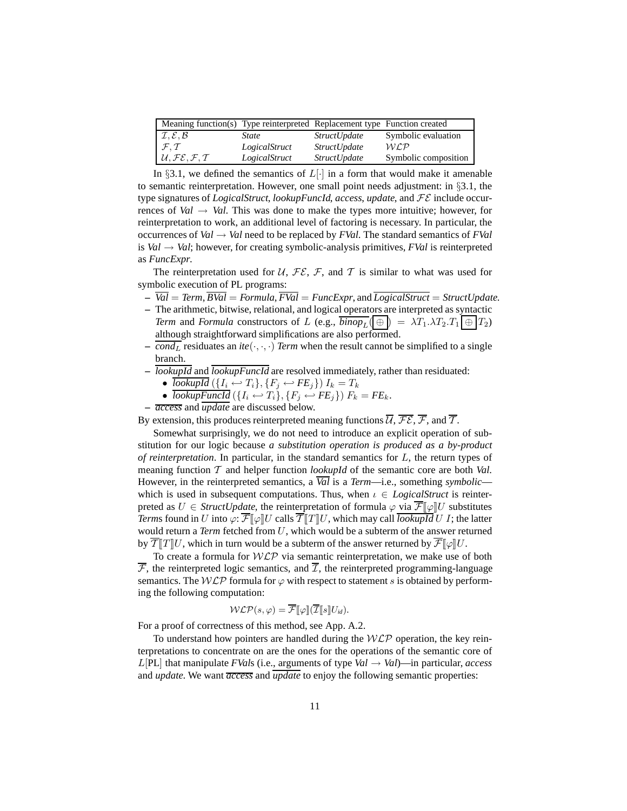| Meaning function(s) Type reinterpreted Replacement type Function created |               |                     |                      |
|--------------------------------------------------------------------------|---------------|---------------------|----------------------|
| $\mathcal{I}, \mathcal{E}, \mathcal{B}$                                  | State         | <i>StructUpdate</i> | Symbolic evaluation  |
| $\mathcal{F}, \mathcal{T}$                                               | LogicalStruct | <i>StructUpdate</i> | W C.P                |
| $U, \mathcal{FE}, \mathcal{F}, \mathcal{T}$                              | LogicalStruct | <i>StructUpdate</i> | Symbolic composition |

In §3.1, we defined the semantics of  $L[\cdot]$  in a form that would make it amenable to semantic reinterpretation. However, one small point needs adjustment: in §3.1, the type signatures of *LogicalStruct*, *lookupFuncId*, *access*, *update*, and FE include occurrences of *Val*  $\rightarrow$  *Val*. This was done to make the types more intuitive; however, for reinterpretation to work, an additional level of factoring is necessary. In particular, the occurrences of *Val*  $\rightarrow$  *Val* need to be replaced by *FVal*. The standard semantics of *FVal* is *Val*  $\rightarrow$  *Val*; however, for creating symbolic-analysis primitives, *FVal* is reinterpreted as *FuncExpr*.

The reinterpretation used for U,  $\mathcal{FE}$ ,  $\mathcal{F}$ , and T is similar to what was used for symbolic execution of PL programs:

- **–** *Val* = *Term*, *BVal* = *Formula*, *FVal* = *FuncExpr*, and *LogicalStruct* = *StructUpdate*.
- **–** The arithmetic, bitwise, relational, and logical operators are interpreted as syntactic *Term* and *Formula* constructors of L (e.g.,  $\overline{binop_L}$   $(\oplus \oplus \oplus \lambda T_1 \lambda T_2 \cdot T_1 \oplus T_2)$ although straightforward simplifications are also performed.
- $\overline{\text{cond}_L}$  residuates an *ite*( $\cdot$ , $\cdot$ , $\cdot$ ) *Term* when the result cannot be simplified to a single branch.
- **–** *lookupId* and *lookupFuncId* are resolved immediately, rather than residuated:
	- ${lookupId}\left( {\left\{ {I_{i} \hookleftarrow T_{i}} \right\}, \left\{ {F_{j} \hookleftarrow F{E_{j}}} \right\}} \right)I_{k}=T_{k}$
	- *lookupFuncId*  $(\lbrace I_i \leftarrow T_i \rbrace, \lbrace F_j \leftarrow F E_j \rbrace) F_k = F E_k$ .
- **–** *access* and *update* are discussed below.

By extension, this produces reinterpreted meaning functions  $\overline{U}$ ,  $\overline{\mathcal{FE}}$ ,  $\overline{\mathcal{F}}$ , and  $\overline{\mathcal{T}}$ .

Somewhat surprisingly, we do not need to introduce an explicit operation of substitution for our logic because *a substitution operation is produced as a by-product of reinterpretation*. In particular, in the standard semantics for L, the return types of meaning function T and helper function *lookupId* of the semantic core are both *Val*. However, in the reinterpreted semantics, a *Val* is a *Term*—i.e., something *symbolic* which is used in subsequent computations. Thus, when  $\iota \in LogicalStruct$  is reinterpreted as  $U \in \text{StructUpdate}$ , the reinterpretation of formula  $\varphi$  via  $\overline{\mathcal{F}}[\varphi]U$  substitutes *Terms* found in U into  $\varphi$ :  $\overline{\mathcal{F}}[\varphi]U$  calls  $\overline{\mathcal{T}}[T]U$ , which may call *lookupId* U I; the latter would return a *Term* fetched from U, which would be a subterm of the answer returned by  $\overline{T}$   $\overline{T}$   $\overline{T}$  which in turn would be a subterm of the answer returned by  $\overline{\mathcal{F}}$   $\mathbb{I}\varphi$   $\overline{U}$ .

To create a formula for  $W\mathcal{LP}$  via semantic reinterpretation, we make use of both  $\overline{\mathcal{F}}$ , the reinterpreted logic semantics, and  $\overline{\mathcal{I}}$ , the reinterpreted programming-language semantics. The  $WLP$  formula for  $\varphi$  with respect to statement s is obtained by performing the following computation:

$$
\mathcal{WLP}(s,\varphi) = \overline{\mathcal{F}}[\varphi][\overline{\mathcal{I}}[s]U_{id}).
$$

For a proof of correctness of this method, see App. A.2.

To understand how pointers are handled during the  $WLP$  operation, the key reinterpretations to concentrate on are the ones for the operations of the semantic core of  $L[PL]$  that manipulate *FVals* (i.e., arguments of type *Val*  $\rightarrow$  *Val*)—in particular, *access* and *update*. We want *access* and *update* to enjoy the following semantic properties: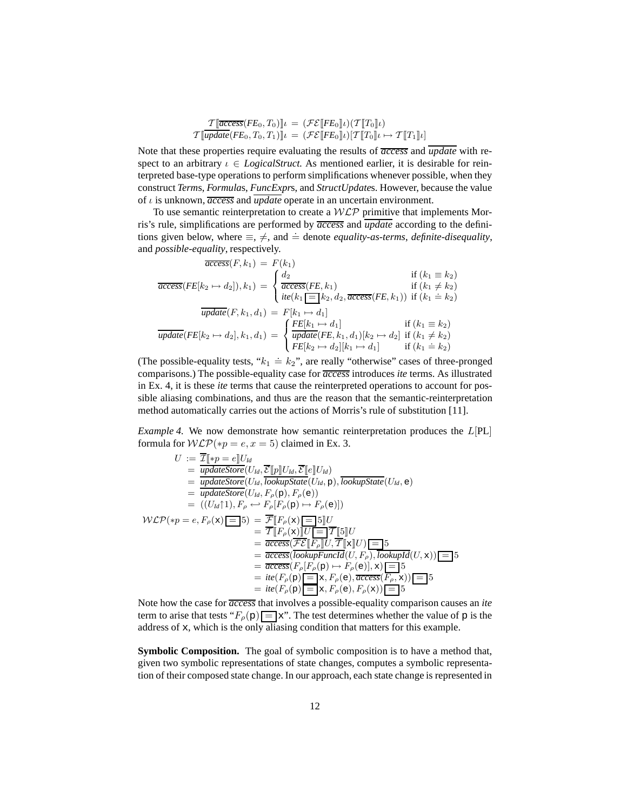$$
\mathcal{T}[\overline{access}(FE_0, T_0)]\iota = (\mathcal{FE}[FE_0]\iota)(\mathcal{T}[T_0]\iota)
$$
  

$$
\mathcal{T}[\overline{update}(FE_0, T_0, T_1)]\iota = (\mathcal{FE}[FE_0]\iota)(\mathcal{T}[T_0]\iota \mapsto \mathcal{T}[T_1]\iota]
$$

Note that these properties require evaluating the results of *access* and *update* with respect to an arbitrary  $\iota \in LogicalStruct.$  As mentioned earlier, it is desirable for reinterpreted base-type operations to perform simplifications whenever possible, when they construct *Term*s, *Formula*s, *FuncExpr*s, and *StructUpdate*s. However, because the value of ι is unknown, *access* and *update* operate in an uncertain environment.

To use semantic reinterpretation to create a  $WLP$  primitive that implements Morris's rule, simplifications are performed by *access* and *update* according to the definitions given below, where  $\equiv$ ,  $\neq$ , and  $\stackrel{.}{=}$  denote *equality-as-terms*, *definite-disequality*, and *possible-equality*, respectively.

$$
\overline{access}(FE[k_2 \rightarrow d_2]), k_1) = F(k_1)
$$
\n
$$
\overline{access}(FE[k_2 \rightarrow d_2]), k_1) = \begin{cases}\n\frac{d_2}{access}(FE, k_1) & \text{if } (k_1 \equiv k_2) \\
\frac{d_2}{access}(FE, k_1) & \text{if } (k_1 \neq k_2) \\
\frac{d_2}{it}(k_1 \equiv k_2, d_2, \overline{access}(FE, k_1)) & \text{if } (k_1 \stackrel{\cdot}{=} k_2) \\
\frac{d_2}{t}(k_1 \equiv k_2, d_2, \overline{access}(FE, k_1)) & \text{if } (k_1 \equiv k_2) \\
\frac{d_2}{t}(k_1 \rightarrow d_1) & \text{if } (k_1 \equiv k_2) \\
\frac{d_2}{t}(k_1 \rightarrow d_1) & \text{if } (k_1 \neq k_2) \\
\frac{d_2}{t}(k_1 \rightarrow d_2)[k_1 \rightarrow d_1] & \text{if } (k_1 \stackrel{\cdot}{=} k_2)\n\end{cases}
$$

(The possible-equality tests, " $k_1 \doteq k_2$ ", are really "otherwise" cases of three-pronged comparisons.) The possible-equality case for *access* introduces *ite* terms. As illustrated in Ex. 4, it is these *ite* terms that cause the reinterpreted operations to account for possible aliasing combinations, and thus are the reason that the semantic-reinterpretation method automatically carries out the actions of Morris's rule of substitution [11].

*Example 4.* We now demonstrate how semantic reinterpretation produces the L[PL] formula for  $W\mathcal{LP}(*_p = e, x = 5)$  claimed in Ex. 3.

$$
U := \overline{\underline{\mathcal{I}}}\left[\underset{p \in \mathcal{P}}{\text{updateStore}}(U_{ld}, \overline{\underline{\mathcal{E}}}[\underline{p}]\underline{U}_{ld}, \overline{\underline{\mathcal{E}}}[\underline{e}]\underline{U}_{ld})\right]
$$
\n
$$
= \underset{p \neq \text{dataStore}}{\text{updateStore}}(U_{ld}, \overline{\underline{\mathcal{E}}}[\underline{p}]\underline{U}_{ld}, \overline{\underline{\mathcal{E}}}[\underline{e}]\underline{U}_{ld})
$$
\n
$$
= \underset{p \neq \text{dataStore}}{\text{updateStore}}(U_{ld}, \overline{\underline{F}}_{p}(p), \overline{F}_{p}(e))
$$
\n
$$
= ((U_{ld}\uparrow 1), F_{\rho} \leftrightarrow F_{\rho}[\underline{F}_{\rho}(p) \mapsto F_{\rho}(e)])
$$
\n
$$
W\mathcal{L}\mathcal{P}(*p = e, F_{\rho}(\mathbf{x})\underline{I} = 5) = \overline{\underline{\mathcal{F}}}[\underline{F}_{\rho}(\mathbf{x})\underline{I} = 5][U]
$$
\n
$$
= \overline{\underline{\mathcal{T}}}[\underline{F}_{p}(\mathbf{x})][U\underline{I} = \overline{\underline{\mathcal{T}}}[[5]]U
$$
\n
$$
= \overline{\underline{\mathcal{C}ccess}(\overline{\mathcal{F}\mathcal{E}}[\underline{F}_{\rho}]\underline{U}, \overline{\underline{\mathcal{T}}}[[\mathbf{x}]\underline{U})] = 5
$$
\n
$$
= \overline{\underline{\mathcal{C}ccess}(\overline{\mathcal{C}c}\underline{E}[F_{\rho}]\underline{U}, \overline{\underline{\mathcal{T}}}[[\mathbf{x}]\underline{U})] = 5
$$
\n
$$
= \overline{\underline{\mathcal{C}ccess}(\overline{F}_{\rho}(p) \mapsto F_{\rho}(e)], \mathbf{x})\underline{I} = 5
$$
\n
$$
= \overline{\mathcal{C}ccess}(\overline{F}_{\rho}(p) \mapsto F_{\rho}(e), \overline{\mathcal{C}ccess}(F_{\rho}, \mathbf{x})) = 5
$$
\n
$$
= \mathcal{C}(\overline{F}_{\rho}(p) \underline{I} = \mathbf{x}, F_{\rho}(e), F_{\rho}(\mathbf{x})) = 5
$$

Note how the case for *access* that involves a possible-equality comparison causes an *ite* term to arise that tests " $F_{\rho}(\mathbf{p}) = \mathbf{x}$ ". The test determines whether the value of p is the address of x, which is the only aliasing condition that matters for this example.

**Symbolic Composition.** The goal of symbolic composition is to have a method that, given two symbolic representations of state changes, computes a symbolic representation of their composed state change. In our approach, each state change is represented in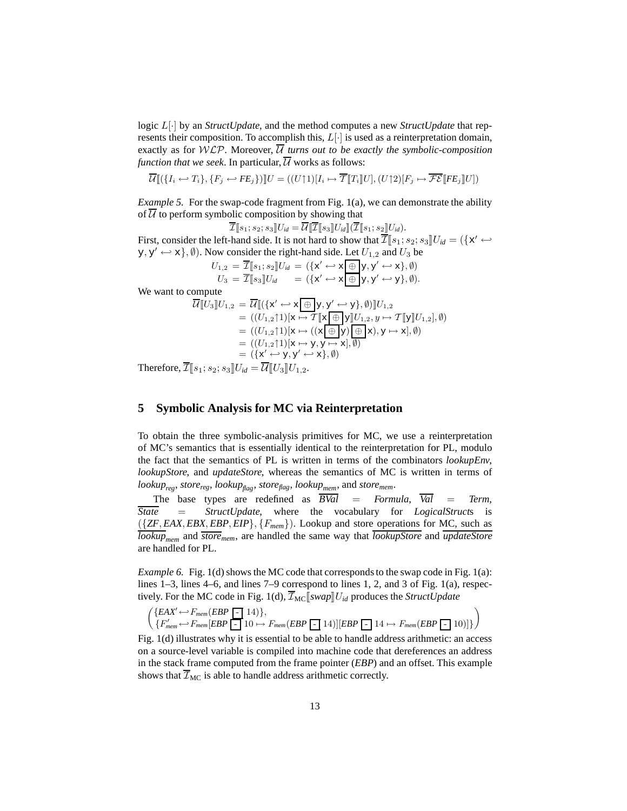logic L[·] by an *StructUpdate*, and the method computes a new *StructUpdate* that represents their composition. To accomplish this,  $L[\cdot]$  is used as a reinterpretation domain, exactly as for WLP. Moreover,  $\overline{U}$  turns out to be exactly the symbolic-composition *function that we seek.* In particular,  $\overline{U}$  works as follows:

 $\overline{\mathcal{U}}\llbracket (\{I_i \leftarrow T_i\}, \{F_j \leftarrow FE_j\}) \rrbracket U = ((U\uparrow 1)[I_i \mapsto \overline{\mathcal{T}}\llbracket T_i \rrbracket U], (U\uparrow 2)[F_j \mapsto \overline{\mathcal{FE}}\llbracket F E_j \rrbracket U])$ 

*Example 5.* For the swap-code fragment from Fig. 1(a), we can demonstrate the ability of  $U$  to perform symbolic composition by showing that

$$
\overline{\mathcal{I}}[\![s_1;s_2;s_3]\!]U_{id}=\overline{\mathcal{U}}[\![\overline{\mathcal{I}}[\![s_3]\!]U_{id}]\!](\overline{\mathcal{I}}[\![s_1;s_2]\!]U_{id}).
$$

First, consider the left-hand side. It is not hard to show that  $\overline{\mathcal{I}}[s_1; s_2; s_3]U_{id} = (\{\mathbf{x}' \mapsto$  $(y, y' \leftrightarrow x)$ ,  $\emptyset$ ). Now consider the right-hand side. Let  $U_{1,2}$  and  $U_3$  be

$$
U_{1,2} = \overline{\mathcal{I}}[\![s_1;s_2]\!] U_{id} = (\{x' \leftrightarrow x \oplus y, y' \leftrightarrow x\}, \emptyset)
$$
  
\n
$$
U_3 = \overline{\mathcal{I}}[\![s_3]\!] U_{id} = (\{x' \leftrightarrow x \oplus y, y' \leftrightarrow y\}, \emptyset).
$$

We want to compute

$$
\overline{\mathcal{U}}[\![U_3]\!] U_{1,2} = \overline{\mathcal{U}}[\![\{(x' \leftrightarrow x \text{ } \oplus \text{ } y, y' \leftrightarrow y\}, \emptyset)]\!] U_{1,2}
$$
\n
$$
= ((U_{1,2}\uparrow 1)[x \mapsto \mathcal{T}[\![x \text{ } \oplus \text{ }] y]\!] U_{1,2}, y \mapsto \mathcal{T}[\![y]\!] U_{1,2}], \emptyset)
$$
\n
$$
= ((U_{1,2}\uparrow 1)[x \mapsto ((x \text{ } \oplus \text{ }] y) \text{ } \oplus \text{ }] x), y \mapsto x], \emptyset)
$$
\n
$$
= ((U_{1,2}\uparrow 1)[x \mapsto y, y \mapsto x], \emptyset)
$$
\n
$$
= (\{x' \leftrightarrow y, y' \leftrightarrow x\}, \emptyset)
$$
\nfore

\n
$$
\overline{\mathcal{T}}[\![s_1 : s_2 : s_3] \text{ }] U_{1,1} = \overline{\mathcal{U}}[\![U_3]\!] U_{1,2}
$$

Therefore,  $\mathcal{I}[[s_1; s_2; s_3] \cup id = U[[t_3] \cup 1, 2$ .

# **5 Symbolic Analysis for MC via Reinterpretation**

To obtain the three symbolic-analysis primitives for MC, we use a reinterpretation of MC's semantics that is essentially identical to the reinterpretation for PL, modulo the fact that the semantics of PL is written in terms of the combinators *lookupEnv*, *lookupStore*, and *updateStore*, whereas the semantics of MC is written in terms of *lookupreg*, *storereg*, *lookupflag*, *storeflag*, *lookupmem*, and *storemem*.

The base types are redefined as  $\overline{BVal}$  = *Formula*,  $\overline{Val}$  = *Term*, *State* = *StructUpdate*, where the vocabulary for *LogicalStruct*s is ({*ZF*, *EAX*, *EBX*, *EBP*, *EIP*}, {F*mem*}). Lookup and store operations for MC, such as *lookupmem* and *storemem*, are handled the same way that *lookupStore* and *updateStore* are handled for PL.

*Example 6.* Fig. 1(d) shows the MC code that corresponds to the swap code in Fig. 1(a): lines 1–3, lines 4–6, and lines 7–9 correspond to lines 1, 2, and 3 of Fig. 1(a), respectively. For the MC code in Fig. 1(d),  $\overline{\mathcal{I}}_{MC}$  *[swap]U<sub>id</sub>* produces the *StructUpdate* 

$$
\begin{pmatrix}\n\{EAX' \leftarrow F_{mem}(EBP \quad 14)\}, \\
\{F'_{mem} \leftarrow F_{mem}[EBP \quad 10 \mapsto F_{mem}(EBP \quad 14)] [EBP \quad 14 \mapsto F_{mem}(EBP \quad 10)]\}\n\end{pmatrix}
$$

Fig. 1(d) illustrates why it is essential to be able to handle address arithmetic: an access on a source-level variable is compiled into machine code that dereferences an address in the stack frame computed from the frame pointer (*EBP*) and an offset. This example shows that  $\overline{\mathcal{I}}_{MC}$  is able to handle address arithmetic correctly.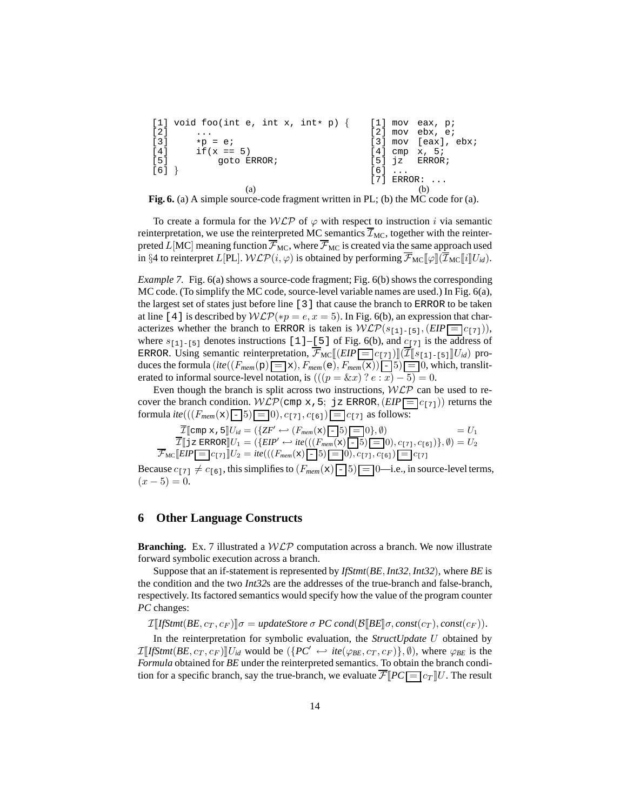```
[1] void foo(int e, int x, int* p) {
\lceil 2 \rceil ...
[3] *p = e;<br>
[4] if(x ==
       if(x == 5)[5] goto ERROR;
[6] }
                                      [1] moy eax, p;
                                      [2] mov ebx, e;
                                      [3] mov [eax], ebx;
                                      [4] cmp x, 5;
                                      [5] jz ERROR;
                                      [6] ...
                                      [7] ERROR: ...
                (a) (b)
```
**Fig. 6.** (a) A simple source-code fragment written in PL; (b) the MC code for (a).

To create a formula for the  $WLP$  of  $\varphi$  with respect to instruction i via semantic reinterpretation, we use the reinterpreted MC semantics  $\overline{\mathcal{I}}_{MC}$ , together with the reinterpreted L[MC] meaning function  $\overline{\mathcal{F}}_{MC}$ , where  $\overline{\mathcal{F}}_{MC}$  is created via the same approach used in §4 to reinterpret L[PL].  $W\mathcal{LP}(i, \varphi)$  is obtained by performing  $\overline{\mathcal{F}}_{MC}[\varphi](\overline{\mathcal{I}}_{MC}[\![i]\!]U_{id})$ .

*Example 7.* Fig. 6(a) shows a source-code fragment; Fig. 6(b) shows the corresponding MC code. (To simplify the MC code, source-level variable names are used.) In Fig. 6(a), the largest set of states just before line [3] that cause the branch to ERROR to be taken at line [4] is described by  $W\mathcal{LP}(*_p = e, x = 5)$ . In Fig. 6(b), an expression that characterizes whether the branch to ERROR is taken is  $W\mathcal{LP}(\mathcal{S}_{[1]-[5]},(EIP = [c_{[7]})),$ where  $s_{[1]-[5]}$  denotes instructions [1]–[5] of Fig. 6(b), and  $c_{[7]}$  is the address of ERROR. Using semantic reinterpretation,  $\overline{\mathcal{F}}_{MC}[[(EIP \sqsubseteq ]c_{[7]})][(I\overline{I}[s_{[1]-[5]}]]U_{id})$  produces the formula  $(ite((F_{mem}(p) = x), F_{mem}(e), F_{mem}(x))$  - 5) = 0, which, transliterated to informal source-level notation, is  $(((p = \& x) \cdot e : x) - 5) = 0.$ 

Even though the branch is split across two instructions,  $WLP$  can be used to recover the branch condition.  $WLP$ (cmp x, 5; jz ERROR,  $(EIP = c_{[7]})$ ) returns the formula *ite*((( $F_{mem}(x)$  - 5) = 0),  $c_{[7]}$ ,  $c_{[6]}$ ) =  $c_{[7]}$  as follows:

$$
\overline{\mathcal{I}}[\text{cmp } \mathbf{x}, \mathbf{5}]U_{id} = (\{ZF' \leftrightarrow (F_{mem}(\mathbf{x})\mathbf{[-}5)\mathbf{[-}0\}, \emptyset) = U_1 \n\overline{\mathcal{I}}[\mathbf{j} \mathbf{z} \text{ ERROR}]U_1 = (\{EIP' \leftrightarrow ite(((F_{mem}(\mathbf{x})\mathbf{[-}5)\mathbf{[-}0), c_{\{7\}}, c_{\{6\}})\}, \emptyset) = U_2 \n\overline{\mathcal{F}}_{\text{MC}}[\text{EIP}[\mathbf{=}]c_{\{7\}}]\mathbf{U}_2 = ite(((F_{mem}(\mathbf{x})\mathbf{[-}5)\mathbf{[-}0), c_{\{7\}}, c_{\{6\}})\mathbf{=[}c_{\{7\}}]
$$

Because  $c_{[7]} \neq c_{[6]}$ , this simplifies to  $(F_{mem}(\mathbf{x}) \mid \cdot \mid 5) \mid = 0$ —i.e., in source-level terms,  $(x - 5) = 0.$ 

# **6 Other Language Constructs**

**Branching.** Ex. 7 illustrated a  $W\mathcal{LP}$  computation across a branch. We now illustrate forward symbolic execution across a branch.

Suppose that an if-statement is represented by *IfStmt*(*BE*, *Int32*, *Int32*), where *BE* is the condition and the two *Int32*s are the addresses of the true-branch and false-branch, respectively. Its factored semantics would specify how the value of the program counter *PC* changes:

 $\mathcal{I}$ <sup>*I*</sup>*IfStmt*(*BE*,  $c_T$ ,  $c_F$ ) $\sigma$  = *updateStore*  $\sigma$  *PC cond*( $\mathcal{B}$ *[BE*] $\sigma$ *, const*( $c_T$ )*, const*( $c_F$ )).

In the reinterpretation for symbolic evaluation, the *StructUpdate* U obtained by  $\mathcal{I}[[\mathit{IfStmt}(BE, c_T, c_F)]]U_{id}$  would be  $(\lbrace PC' \leftrightarrow ite(\varphi_{BE}, c_T, c_F) \rbrace, \emptyset)$ , where  $\varphi_{BE}$  is the *Formula* obtained for *BE* under the reinterpreted semantics. To obtain the branch condition for a specific branch, say the true-branch, we evaluate  $\overline{\mathcal{F}}[PC] = c_T U$ . The result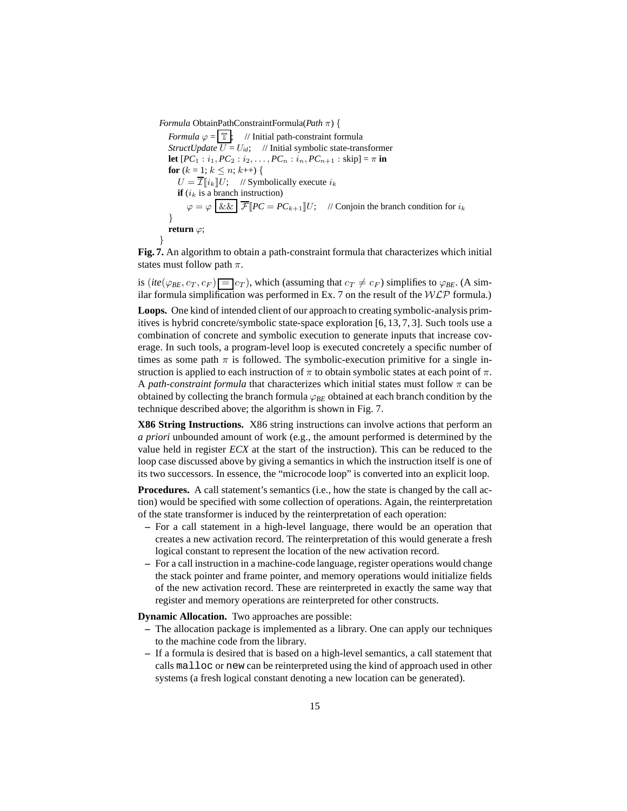*Formula* ObtainPathConstraintFormula(*Path* π) {

*Formula*  $\varphi = \boxed{\mathbb{T}}$ ; // Initial path-constraint formula *StructUpdate*  $\overline{U} = U_{id}$ ; // Initial symbolic state-transformer **let**  $[PC_1 : i_1, PC_2 : i_2, \ldots, PC_n : i_n, PC_{n+1} : skip] = \pi$  in **for**  $(k = 1; k \leq n; k++)$  {  $U = \overline{\mathcal{I}} ||i_k|| U;$  // Symbolically execute  $i_k$ **if**  $(i_k$  is a branch instruction)  $\varphi = \varphi \overline{ \&\& \overline{\mathcal{F}} } \overline{ \Vert} P C = P C_{k+1} \Vert U;$  // Conjoin the branch condition for  $i_k$ } **return** ϕ; }

**Fig. 7.** An algorithm to obtain a path-constraint formula that characterizes which initial states must follow path  $\pi$ .

is (*ite*( $\varphi_{BE}, c_T, c_F$ ) =  $|c_T|$ , which (assuming that  $c_T \neq c_F$ ) simplifies to  $\varphi_{BE}$ . (A similar formula simplification was performed in Ex. 7 on the result of the  $WLP$  formula.)

**Loops.** One kind of intended client of our approach to creating symbolic-analysis primitives is hybrid concrete/symbolic state-space exploration [6, 13, 7, 3]. Such tools use a combination of concrete and symbolic execution to generate inputs that increase coverage. In such tools, a program-level loop is executed concretely a specific number of times as some path  $\pi$  is followed. The symbolic-execution primitive for a single instruction is applied to each instruction of  $\pi$  to obtain symbolic states at each point of  $\pi$ . A *path-constraint formula* that characterizes which initial states must follow  $\pi$  can be obtained by collecting the branch formula  $\varphi_{BE}$  obtained at each branch condition by the technique described above; the algorithm is shown in Fig. 7.

**X86 String Instructions.** X86 string instructions can involve actions that perform an *a priori* unbounded amount of work (e.g., the amount performed is determined by the value held in register *ECX* at the start of the instruction). This can be reduced to the loop case discussed above by giving a semantics in which the instruction itself is one of its two successors. In essence, the "microcode loop" is converted into an explicit loop.

**Procedures.** A call statement's semantics (i.e., how the state is changed by the call action) would be specified with some collection of operations. Again, the reinterpretation of the state transformer is induced by the reinterpretation of each operation:

- **–** For a call statement in a high-level language, there would be an operation that creates a new activation record. The reinterpretation of this would generate a fresh logical constant to represent the location of the new activation record.
- **–** For a call instruction in a machine-code language, register operations would change the stack pointer and frame pointer, and memory operations would initialize fields of the new activation record. These are reinterpreted in exactly the same way that register and memory operations are reinterpreted for other constructs.

**Dynamic Allocation.** Two approaches are possible:

- **–** The allocation package is implemented as a library. One can apply our techniques to the machine code from the library.
- **–** If a formula is desired that is based on a high-level semantics, a call statement that calls malloc or new can be reinterpreted using the kind of approach used in other systems (a fresh logical constant denoting a new location can be generated).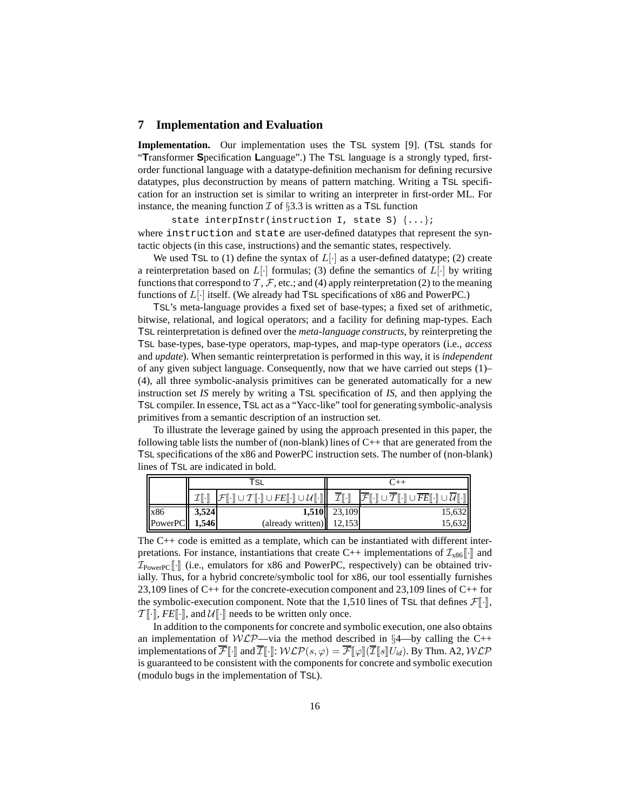### **7 Implementation and Evaluation**

**Implementation.** Our implementation uses the TSL system [9]. (TSL stands for "**T**ransformer **S**pecification **L**anguage".) The TSL language is a strongly typed, firstorder functional language with a datatype-definition mechanism for defining recursive datatypes, plus deconstruction by means of pattern matching. Writing a TSL specification for an instruction set is similar to writing an interpreter in first-order ML. For instance, the meaning function  $\mathcal I$  of §3.3 is written as a TSL function

state interpInstr(instruction I, state S)  $\{ \ldots \}$ ; where instruction and state are user-defined datatypes that represent the syntactic objects (in this case, instructions) and the semantic states, respectively.

We used TSL to (1) define the syntax of  $L[\cdot]$  as a user-defined datatype; (2) create a reinterpretation based on  $L[\cdot]$  formulas; (3) define the semantics of  $L[\cdot]$  by writing functions that correspond to  $\mathcal{T}, \mathcal{F}$ , etc.; and (4) apply reinterpretation (2) to the meaning functions of  $L[\cdot]$  itself. (We already had TSL specifications of x86 and PowerPC.)

TSL's meta-language provides a fixed set of base-types; a fixed set of arithmetic, bitwise, relational, and logical operators; and a facility for defining map-types. Each TSL reinterpretation is defined over the *meta-language constructs*, by reinterpreting the TSL base-types, base-type operators, map-types, and map-type operators (i.e., *access* and *update*). When semantic reinterpretation is performed in this way, it is *independent* of any given subject language. Consequently, now that we have carried out steps (1)– (4), all three symbolic-analysis primitives can be generated automatically for a new instruction set *IS* merely by writing a TSL specification of *IS*, and then applying the TSL compiler. In essence, TSL act as a "Yacc-like" tool for generating symbolic-analysis primitives from a semantic description of an instruction set.

To illustrate the leverage gained by using the approach presented in this paper, the following table lists the number of (non-blank) lines of  $C_{++}$  that are generated from the TSL specifications of the x86 and PowerPC instruction sets. The number of (non-blank) lines of TSL are indicated in bold.

|                                                                                                 | ' SL                                                                                                                                                               |              |                                                                                                                                                                                                                              |  |  |  |
|-------------------------------------------------------------------------------------------------|--------------------------------------------------------------------------------------------------------------------------------------------------------------------|--------------|------------------------------------------------------------------------------------------------------------------------------------------------------------------------------------------------------------------------------|--|--|--|
|                                                                                                 | $\mathcal{F}[\![\cdot]\!] \cup \mathcal{T}[\![\cdot]\!] \cup \mathit{FE}[\![\cdot]\!] \cup \mathcal{U}[\![\cdot]\!] \parallel \overline{\mathcal{I}}[\![\cdot]\!]$ |              | $\boxed{\mathcal{F}}$ $\boxed{\cdot}$ $\boxed{\cup$ $\overline{\mathcal{T}}$ $\boxed{\cdot}$ $\boxed{\cup}$ $\overline{\mathit{FE}}$ $\boxed{\cdot}$ $\boxed{\cup}$ $\overline{\mathcal{U}}$ $\boxed{\cdot}$ $\boxed{\cdot}$ |  |  |  |
|                                                                                                 |                                                                                                                                                                    | 1,510 23,109 | 15,632                                                                                                                                                                                                                       |  |  |  |
| $\begin{array}{ l l }\n \hline\n x86 & 3,524 \\  \hline\n \text{PowerPC} & 1,546\n \end{array}$ | $\left(\text{already written}\right)$ 12,153                                                                                                                       |              | 15,632                                                                                                                                                                                                                       |  |  |  |

The C++ code is emitted as a template, which can be instantiated with different interpretations. For instance, instantiations that create C++ implementations of  $\mathcal{I}_{\text{x86}}[\cdot]$  and  $\mathcal{I}_{\text{PowerPC}}[\lceil \cdot \rceil]$  (i.e., emulators for x86 and PowerPC, respectively) can be obtained trivially. Thus, for a hybrid concrete/symbolic tool for x86, our tool essentially furnishes 23,109 lines of C++ for the concrete-execution component and 23,109 lines of C++ for the symbolic-execution component. Note that the 1,510 lines of TSL that defines  $\mathcal{F}[\cdot],$  $T[\cdot], FE[\cdot],$  and  $\mathcal{U}[\cdot]$  needs to be written only once.

In addition to the components for concrete and symbolic execution, one also obtains an implementation of  $W\mathcal{LP}$ —via the method described in §4—by calling the C++ implementations of  $\overline{\mathcal{F}}[\cdot]\overline{\cdot}$  and  $\overline{\mathcal{I}}[\cdot]\overline{\cdot}$   $W\mathcal{LP}(s,\varphi) = \overline{\mathcal{F}}[\varphi]\overline{\cdot}(\overline{\mathcal{I}}[s]\overline{\cdot}U_{id})$ . By Thm. A2,  $W\mathcal{LP}$ is guaranteed to be consistent with the components for concrete and symbolic execution (modulo bugs in the implementation of TSL).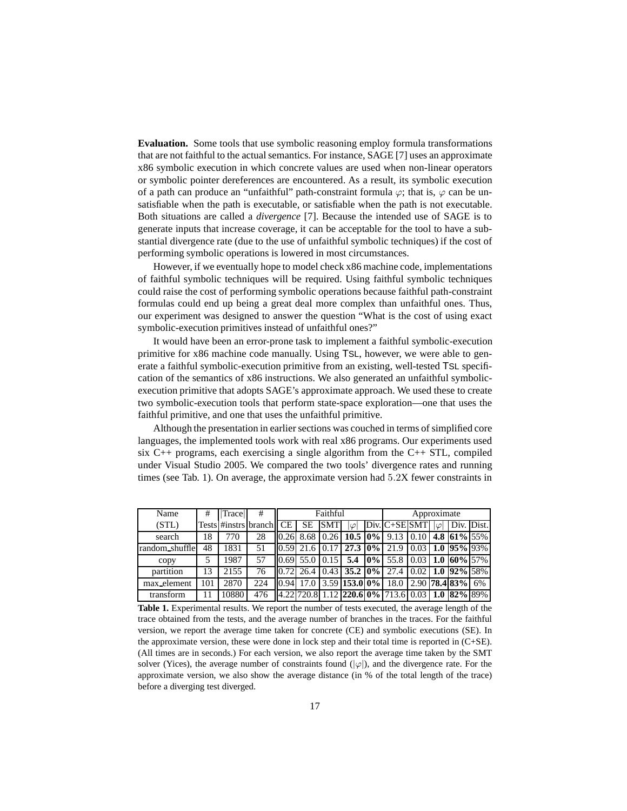**Evaluation.** Some tools that use symbolic reasoning employ formula transformations that are not faithful to the actual semantics. For instance, SAGE [7] uses an approximate x86 symbolic execution in which concrete values are used when non-linear operators or symbolic pointer dereferences are encountered. As a result, its symbolic execution of a path can produce an "unfaithful" path-constraint formula  $\varphi$ ; that is,  $\varphi$  can be unsatisfiable when the path is executable, or satisfiable when the path is not executable. Both situations are called a *divergence* [7]. Because the intended use of SAGE is to generate inputs that increase coverage, it can be acceptable for the tool to have a substantial divergence rate (due to the use of unfaithful symbolic techniques) if the cost of performing symbolic operations is lowered in most circumstances.

However, if we eventually hope to model check x86 machine code, implementations of faithful symbolic techniques will be required. Using faithful symbolic techniques could raise the cost of performing symbolic operations because faithful path-constraint formulas could end up being a great deal more complex than unfaithful ones. Thus, our experiment was designed to answer the question "What is the cost of using exact symbolic-execution primitives instead of unfaithful ones?"

It would have been an error-prone task to implement a faithful symbolic-execution primitive for x86 machine code manually. Using TSL, however, we were able to generate a faithful symbolic-execution primitive from an existing, well-tested TSL specification of the semantics of x86 instructions. We also generated an unfaithful symbolicexecution primitive that adopts SAGE's approximate approach. We used these to create two symbolic-execution tools that perform state-space exploration—one that uses the faithful primitive, and one that uses the unfaithful primitive.

Although the presentation in earlier sections was couched in terms of simplified core languages, the implemented tools work with real x86 programs. Our experiments used six  $C_{++}$  programs, each exercising a single algorithm from the  $C_{++}$  STL, compiled under Visual Studio 2005. We compared the two tools' divergence rates and running times (see Tab. 1). On average, the approximate version had 5.2X fewer constraints in

| Name           | #   | Trace | #                       | Faithful |                      |            |           | Approximate |                                                                                                                                 |  |  |                        |  |
|----------------|-----|-------|-------------------------|----------|----------------------|------------|-----------|-------------|---------------------------------------------------------------------------------------------------------------------------------|--|--|------------------------|--|
| (STL)          |     |       | Tests #instrs branch CE |          | <b>SE</b>            | <b>SMT</b> | $\varphi$ |             | $Div.C+SE$ SMT                                                                                                                  |  |  | $ \varphi $ Div. Dist. |  |
| search         | 18  | 770   | 28                      |          |                      |            |           |             | 10.26 8.68 0.26 10.5 0% 9.13 0.10 4.8 61% 55%                                                                                   |  |  |                        |  |
| random_shuffle | 48  | 1831  | 51                      |          |                      |            |           |             | 0.59  21.6   0.17   <b>27.3</b>   0%  21.9   0.03   1.0   95%  93%                                                              |  |  |                        |  |
| copy           |     | 1987  | 57                      |          | $ 0.69 $ 55.0   0.15 |            |           |             | 5.4 $ 0\% $ 55.8 $ 0.03 $ 1.0 $ 60\% 57\% $                                                                                     |  |  |                        |  |
| partition      | 13  | 2155  | 76                      |          |                      |            |           |             | 0.72  26.4   0.43   <b>35.2</b>   0%  27.4   0.02   1.0   92%  58%                                                              |  |  |                        |  |
| max element    | 101 | 2870  | 224                     |          | $ 0.94 $ 17.0        |            |           |             | $\mid$ 3.59 <b>153.0 0%</b> 18.0 2.90 <b>78.4 83%</b> 6%                                                                        |  |  |                        |  |
| transform      |     | 10880 | 476                     |          |                      |            |           |             | $\left  4.22 \right  720.8 \left  1.12 \right  220.6 \left  0\% \right  713.6 \left  0.03 \right  1.0 \left  82\% \right  89\%$ |  |  |                        |  |

**Table 1.** Experimental results. We report the number of tests executed, the average length of the trace obtained from the tests, and the average number of branches in the traces. For the faithful version, we report the average time taken for concrete (CE) and symbolic executions (SE). In the approximate version, these were done in lock step and their total time is reported in (C+SE). (All times are in seconds.) For each version, we also report the average time taken by the SMT solver (Yices), the average number of constraints found  $(|\varphi|)$ , and the divergence rate. For the approximate version, we also show the average distance (in % of the total length of the trace) before a diverging test diverged.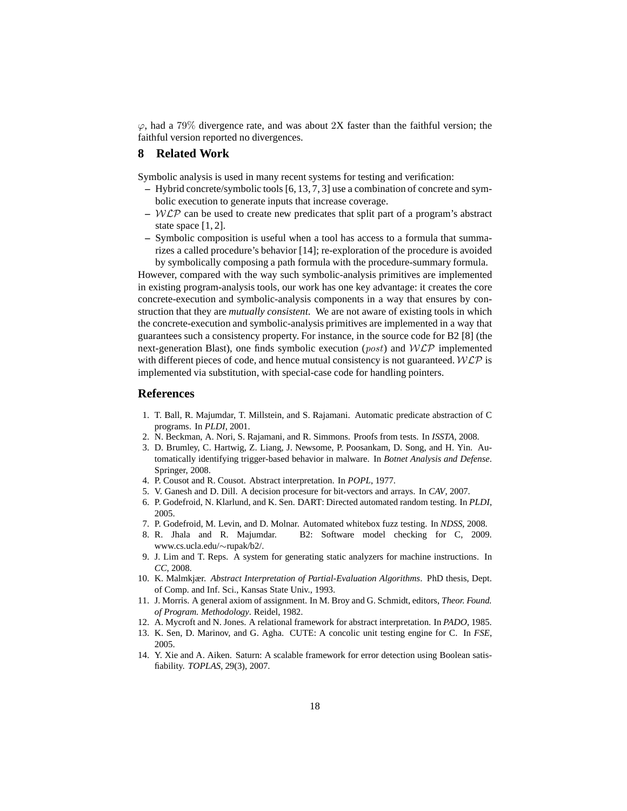$\varphi$ , had a 79% divergence rate, and was about 2X faster than the faithful version; the faithful version reported no divergences.

# **8 Related Work**

Symbolic analysis is used in many recent systems for testing and verification:

- **–** Hybrid concrete/symbolic tools [6, 13, 7, 3] use a combination of concrete and symbolic execution to generate inputs that increase coverage.
- **–** WLP can be used to create new predicates that split part of a program's abstract state space [1, 2].
- **–** Symbolic composition is useful when a tool has access to a formula that summarizes a called procedure's behavior [14]; re-exploration of the procedure is avoided by symbolically composing a path formula with the procedure-summary formula.

However, compared with the way such symbolic-analysis primitives are implemented in existing program-analysis tools, our work has one key advantage: it creates the core concrete-execution and symbolic-analysis components in a way that ensures by construction that they are *mutually consistent*. We are not aware of existing tools in which the concrete-execution and symbolic-analysis primitives are implemented in a way that guarantees such a consistency property. For instance, in the source code for B2 [8] (the next-generation Blast), one finds symbolic execution (*post*) and  $W\mathcal{LP}$  implemented with different pieces of code, and hence mutual consistency is not guaranteed.  $W\mathcal{LP}$  is implemented via substitution, with special-case code for handling pointers.

## **References**

- 1. T. Ball, R. Majumdar, T. Millstein, and S. Rajamani. Automatic predicate abstraction of C programs. In *PLDI*, 2001.
- 2. N. Beckman, A. Nori, S. Rajamani, and R. Simmons. Proofs from tests. In *ISSTA*, 2008.
- 3. D. Brumley, C. Hartwig, Z. Liang, J. Newsome, P. Poosankam, D. Song, and H. Yin. Automatically identifying trigger-based behavior in malware. In *Botnet Analysis and Defense*. Springer, 2008.
- 4. P. Cousot and R. Cousot. Abstract interpretation. In *POPL*, 1977.
- 5. V. Ganesh and D. Dill. A decision procesure for bit-vectors and arrays. In *CAV*, 2007.
- 6. P. Godefroid, N. Klarlund, and K. Sen. DART: Directed automated random testing. In *PLDI*, 2005.
- 7. P. Godefroid, M. Levin, and D. Molnar. Automated whitebox fuzz testing. In *NDSS*, 2008.
- 8. R. Jhala and R. Majumdar. B2: Software model checking for C, 2009. www.cs.ucla.edu/∼rupak/b2/.
- 9. J. Lim and T. Reps. A system for generating static analyzers for machine instructions. In *CC*, 2008.
- 10. K. Malmkjær. *Abstract Interpretation of Partial-Evaluation Algorithms*. PhD thesis, Dept. of Comp. and Inf. Sci., Kansas State Univ., 1993.
- 11. J. Morris. A general axiom of assignment. In M. Broy and G. Schmidt, editors, *Theor. Found. of Program. Methodology*. Reidel, 1982.
- 12. A. Mycroft and N. Jones. A relational framework for abstract interpretation. In *PADO*, 1985.
- 13. K. Sen, D. Marinov, and G. Agha. CUTE: A concolic unit testing engine for C. In *FSE*, 2005.
- 14. Y. Xie and A. Aiken. Saturn: A scalable framework for error detection using Boolean satisfiability. *TOPLAS*, 29(3), 2007.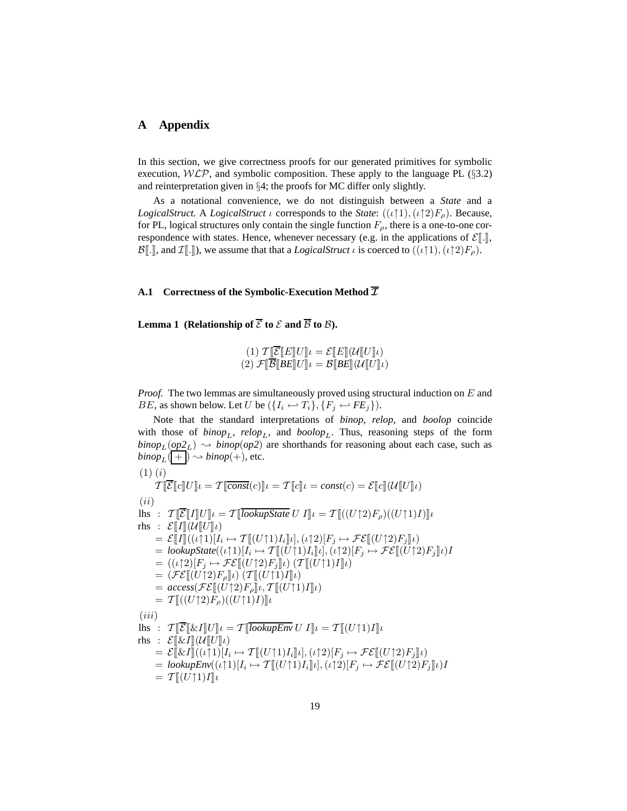### **A Appendix**

In this section, we give correctness proofs for our generated primitives for symbolic execution,  $W\mathcal{LP}$ , and symbolic composition. These apply to the language PL (§3.2) and reinterpretation given in §4; the proofs for MC differ only slightly.

As a notational convenience, we do not distinguish between a *State* and a *LogicalStruct*. A *LogicalStruct ι* corresponds to the *State*:  $((\iota \uparrow 1), (\iota \uparrow 2)F_\rho)$ . Because, for PL, logical structures only contain the single function  $F_{\rho}$ , there is a one-to-one correspondence with states. Hence, whenever necessary (e.g. in the applications of  $\mathcal{E}[\![.]\!]$ ,  $\mathcal{B}[\cdot,\cdot]$ , and  $\mathcal{I}[\cdot,\cdot]$ ), we assume that that a *LogicalStruct*  $\iota$  is coerced to  $((\iota\uparrow 1),(\iota\uparrow 2)F_{\rho})$ .

### **A.1** Correctness of the Symbolic-Execution Method  $\overline{\mathcal{I}}$

**Lemma 1** (Relationship of  $\overline{\mathcal{E}}$  to  $\mathcal{E}$  and  $\overline{\mathcal{B}}$  to  $\mathcal{B}$ ).

$$
(1) T\llbracket \overline{\mathcal{E}} \llbracket E \rrbracket U \rrbracket l = \mathcal{E}\llbracket E \rrbracket (U\llbracket U \rrbracket l)
$$
\n
$$
(2) \mathcal{F}\llbracket \overline{\mathcal{B}} \llbracket B E \rrbracket U \rrbracket l = \mathcal{B}\llbracket B E \rrbracket (U\llbracket U \rrbracket l)
$$

*Proof.* The two lemmas are simultaneously proved using structural induction on E and *BE*, as shown below. Let U be  $({I_i \leftrightarrow T_i}, {F_j \leftrightarrow FE_j})$ .

Note that the standard interpretations of *binop*, *relop*, and *boolop* coincide with those of  $\{binop_L, \text{rel} op_L, \text{and } \text{bool} op_L$ . Thus, reasoning steps of the form  $\binom{binop_L(\rho p2_L)}{\sim}$  *binop*(*op2*) are shorthands for reasoning about each case, such as  $\mathit{binop}_L(\overline{ + \cdot}) \rightsquigarrow \mathit{binop}(+),$  etc.  $(1)$  $(i)$  $\overset{\backsim}{\mathcal{T}}[\!\![\overline{\mathcal{E}}[\![c]\!]U]\!\!] \iota = \mathcal{T}[\!\![\overline{const}(c)]\!\!] \iota = const(c) = \mathcal{E}[\![c]\!](\mathcal{U}[\![U]\!] \iota)$ 

(ii) lhs :  $\mathcal{T} \|\overline{\mathcal{E}}\|I\|U\|_l = \mathcal{T} \|\overline{lookupState} U I\|_l = \mathcal{T} \|(U\uparrow 2)F_\rho)((U\uparrow 1)I)\|_l$ rhs :  $\mathcal{E}[[I]](\mathcal{U}[[U]]_l)$  $=\mathcal{E}[\![I]\!](\iota[\uparrow 1)[I_i \mapsto \mathcal{T}[\![(U\uparrow 1)I_i]\!] \iota], (\iota \uparrow 2)[F_j \mapsto \mathcal{FE}[\![(U\uparrow 2)F_j]\!] \iota)$  $=$  *lookupState* $((\iota \uparrow 1)[I_i \mapsto \mathcal{T}[[(U \uparrow 1)I_i]]_i), (\iota \uparrow 2)[F_j \mapsto \mathcal{FE}[[(U \uparrow 2)F_j]]_i)I$  $= ((\iota \uparrow 2)[F_j \mapsto \mathcal{FE}[[(U \uparrow 2)F_j] \iota) (\mathcal{T}[[(U \uparrow 1)I] \iota)]$  $= (\mathcal{FE}[[U\uparrow 2]F_o||_l) (\mathcal{T}[[(U\uparrow 1)I]|_l))$  $= \text{access}(\mathcal{FE}[[U\uparrow 2]F_{\rho}]\mu, \mathcal{T}[[U\uparrow 1]I]\mu)$  $= \mathcal{T} \left[ \left( (U \uparrow 2) F_o \right) \left( (U \uparrow 1) I \right) \right]$  $(iii)$ lhs :  $\mathcal{T}[\![\overline{\mathcal{E}}]\!]\&L[\![U]\!]\!\!] \iota = \mathcal{T}[\![\overline{\text{lookupEnv}} \, U \, I]\!]\!\!] \iota = \mathcal{T}[\![(U \uparrow 1) I]\!]\iota$ rhs :  $\mathcal{E}[\&I](\mathcal{U}[[U]]\iota)$  $=\mathcal{E}[\mathbb{E}I](\iota\uparrow 1)[I_i \mapsto \mathcal{T}[(U\uparrow 1)I_i]\iota], (\iota\uparrow 2)[F_j \mapsto \mathcal{FE}[(U\uparrow 2)F_j]\iota]$  $=$  *lookupEnv* $((\iota \uparrow 1)[I_i \mapsto \mathcal{T}[[(U \uparrow 1)I_i]]\iota], (\iota \uparrow 2)[F_j \mapsto \mathcal{FE}[[(U \uparrow 2)F_j]]\iota)I$  $= \mathcal{T} \llbracket (U \uparrow 1) I \rrbracket_t$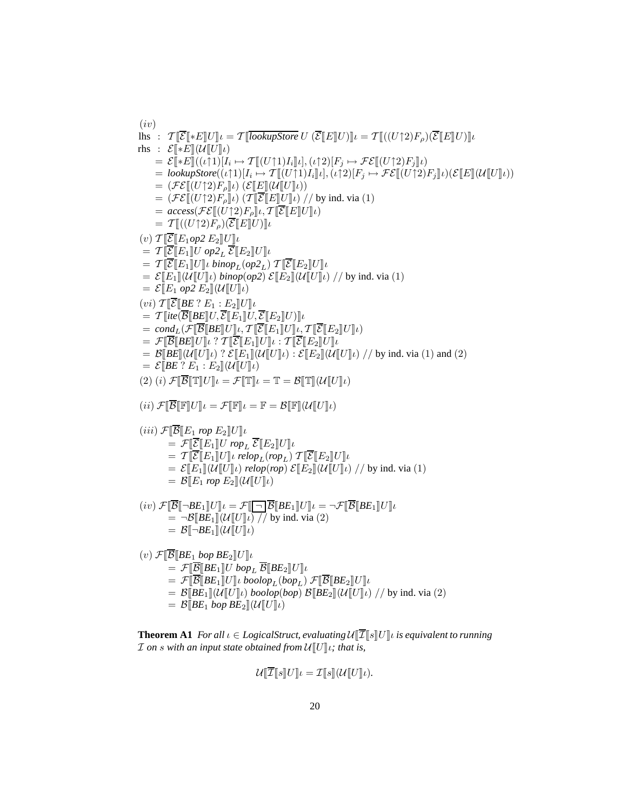$(iv)$ lhs :  $\mathcal{T} \llbracket \overline{\mathcal{E}} \rrbracket * E \llbracket U \rrbracket_l = \mathcal{T} \llbracket \overline{lookupStore} \ U \ (\overline{\mathcal{E}} \llbracket E \rrbracket U) \rrbracket_l = \mathcal{T} \llbracket ((U \uparrow 2) F_o) (\overline{\mathcal{E}} \llbracket E \rrbracket U) \rrbracket_l$ rhs :  $\mathcal{E}[\ast E](\mathcal{U}[[U]]_l)$  $=\mathcal{E}[\ast E]((\iota\uparrow 1)[I_i\mapsto \mathcal{T}[[(U\uparrow 1)I_i]]\iota],(\iota\uparrow 2)[F_j\mapsto \mathcal{FE}[[(U\uparrow 2)F_j]]\iota)$  $=$  *lookupStore* $((\iota \uparrow 1)[I_i \mapsto \mathcal{T}[[(U \uparrow 1)I_i]]\iota], (\iota \uparrow 2)[F_j \mapsto \mathcal{FE}[[(U \uparrow 2)F_j]]\iota)(\mathcal{E}[[E]](\mathcal{U}[[U]\iota))$  $= (\mathcal{FE}[[U\uparrow 2]F_o]_l) (\mathcal{E}[[E](\mathcal{U}[[U]_l))]$  $= (\mathcal{FE}[[U\uparrow 2)F_{\rho}]\psi)$   $(\mathcal{T}[\overline{\mathcal{E}}\mathcal{E}][U]\psi)$  // by ind. via (1)  $= \mathit{access}(\mathcal{FE}[[U\uparrow 2)F_{\rho}]\iota, \mathcal{T}[\overline{\mathcal{E}}\mathcal{E}][U]\iota)$  $= \mathcal{T}$   $[(U \uparrow 2)F_{\rho})(\mathcal{E}$   $E$   $|U)$   $|_{\iota}$  $(v)$   $\mathcal{T}[\overline{\mathcal{E}}[E_1op2E_2]U]u$  $= \mathcal{T}[\overline{\mathcal{E}}[\mathbb{E}_1]\hspace{-0.05cm}U$   $op2_L \overline{\mathcal{E}}[\mathbb{E}_2]\hspace{-0.05cm}U]\hspace{-0.05cm}u$  $= \mathcal{T} \Vert \overline{\mathcal{E}} \Vert E_1 \Vert U \Vert \iota \bmod_{L}(op2_{L}) \mathcal{T} \Vert \overline{\mathcal{E}} \Vert E_2 \Vert U \Vert \iota$  $= \mathcal{E}[[E_1]](\mathcal{U}[[U]]_l)$  *binop*(*op2*)  $\mathcal{E}[[E_2]](\mathcal{U}[[U]]_l)$  // by ind. via (1)  $= \mathcal{E}[E_1 \text{ op2 } E_2](\mathcal{U}[U]\iota)$  $(vi)$   $\mathcal{T}$   $\overline{\mathcal{E}}$   $\mathcal{E}$   $E$   $\cdot$   $E_1$   $\cdot$   $E_2$   $\mathcal{U}$   $\mathcal{U}$  $= \mathcal{T} \Vert$ ite $(\overline{\mathcal{B}} \Vert BE \Vert U, \overline{\mathcal{E}} \Vert E_1 \Vert U, \overline{\mathcal{E}} \Vert E_2 \Vert U) \Vert \iota$  $= cond_L(\mathcal{F}[\overline{\mathcal{B}}[BE]U]\mu, \mathcal{T}[\overline{\mathcal{E}}[E_1]U]\mu, \mathcal{T}[\overline{\mathcal{E}}[E_2]U]\mu)$  $\mathcal{F}[\![\overline{\mathcal{B}}]\!]$ *BE* $\llbracket U \rrbracket \iota$  ?  $\mathcal{T}[\![\overline{\mathcal{E}}]\!] E_1 \rrbracket U \rrbracket \iota$  :  $\mathcal{T}[\![\overline{\mathcal{E}}]\!] E_2 \rrbracket U \rrbracket \iota$  $=\mathcal{B}[\mathbb{B}E](\mathcal{U}[[U]]\iota)$  ?  $\mathcal{E}[[E_1]](\mathcal{U}[[U]]\iota) : \mathcal{E}[[E_2]](\mathcal{U}[[U]]\iota)$  // by ind. via (1) and (2)  $= \mathcal{E}[BE \, ? \, E_1 : E_2](U[[U]] \iota)$ (2) (i)  $\mathcal{F}[\overline{\mathcal{B}}] \mathbb{T}[[U]]_l = \mathcal{F}[\mathbb{T}][_l = \mathbb{T} = \mathcal{B}[\mathbb{T}][U][U]]_l$ (ii)  $\mathcal{F}[\overline{\mathcal{B}}\mathbb{F}[\mathbb{F}U]$ *l* =  $\mathcal{F}[\mathbb{F}]\mathcal{L} = \mathbb{F} = \mathcal{B}[\mathbb{F}](\mathcal{U}[\mathbb{U}]\mathcal{U})$  $(iii)$   $\mathcal{F}[\overline{\mathcal{B}}]E_1$  *rop*  $E_2\mathcal{U}[\mathcal{U}]$  $= \mathcal{F}[\overline{\mathcal{E}}[E_1]Urop_L \overline{\mathcal{E}}[E_2]U]\mu$  $= \mathcal{T}[\![\overline{\mathcal{E}}\!]\!]E_1\!]\![U]\!]\iota$  relop<sub>L</sub>(rop<sub>L</sub>)  $\mathcal{T}[\![\overline{\mathcal{E}}\!]\!]E_2\!]\![U]\!]\iota$  $= \mathcal{E}[[E_1]](\mathcal{U}[[U]]_l)$  *relop*(*rop*)  $\mathcal{E}[[E_2]](\mathcal{U}[[U]]_l)$  // by ind. via (1)  $= \mathcal{B}[[E_1]$  *rop*  $E_2\|(\mathcal{U}[[U]]_l)$  $(i\upsilon) \mathcal{F}[\overline{\mathcal{B}}[\neg B E_1]U]\iota = \mathcal{F}[\overline{\neg} \overline{\mathcal{B}}[BE_1]U]\iota = \neg \mathcal{F}[\overline{\mathcal{B}}[BE_1]U]\iota$  $=\neg\mathcal{B}$ [*BE*<sub>1</sub>][ $\langle\mathcal{U}[[U]]\iota\rangle$ ]/ by ind. via (2)  $= \mathcal{B}[\neg BE_1](\mathcal{U}[[U]]_l)$  $(v)$   $\mathcal{F}[\overline{\mathcal{B}}]BE_1$  *bop*  $BE_2$  $U\|U$  $\mathcal{F}[\![\overline{\mathcal{B}}[\!|B E_1]\!]U$  bop<sub>L</sub>  $\overline{\mathcal{B}}[\![B E_2]\!]U]\!]U$  $=\mathcal{F}[\overline{\mathcal{B}}\mathcal{B}E_1\mathcal{U}]$ *l boolop*<sub>L</sub>(*bop*<sub>L</sub>)  $\mathcal{F}[\overline{\mathcal{B}}\mathcal{B}E_2\mathcal{U}]$ *l*  $= \mathcal{B}[\mathbb{B}E_1](\mathcal{U}[[U]]_t)$  *boolop*(*bop*)  $\mathcal{B}[\mathbb{B}E_2](\mathcal{U}[[U]]_t)$  // by ind. via (2)  $= \mathcal{B}$  $\llbracket BE_1$  *bop*  $BE_2$  $\llbracket (\mathcal{U} \rrbracket U \rrbracket_l$ 

**Theorem A1** *For all*  $\iota \in LogicalStruct, evaluating  $\mathcal{U}[\overline{\mathcal{I}}[s] \cup \mathcal{U}] \iota$  is equivalent to running$ *I* on *s* with an input state obtained from  $U[[U]]_t$ ; that is,

$$
\mathcal{U}[\![\overline{\mathcal{I}}\!][s]\!]U\!]\iota = \mathcal{I}[\![s]\!](\mathcal{U}[\![U]\!]\iota).
$$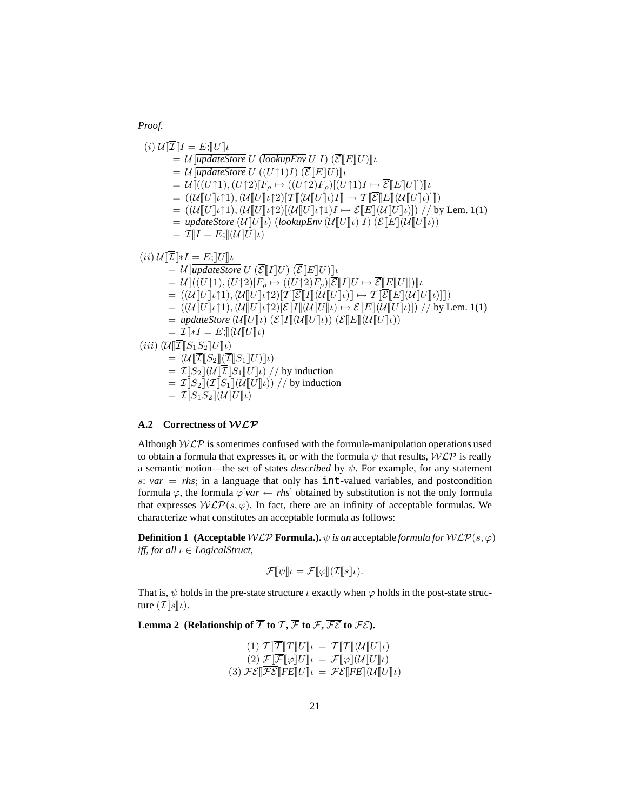*Proof.*

$$
(i) U\llbracket \overline{I}\rrbracket I = E; \llbracket U \rrbracket U
$$
\n
$$
= U\llbracket \overline{updateStore} U (\overline{lookupEnv} U I) (\overline{\mathcal{E}} \llbracket E \rrbracket U) \rrbracket
$$
\n
$$
= U\llbracket \overline{updateStore} U ((U\uparrow 1)I) (\overline{\mathcal{E}} \llbracket E \rrbracket U) \rrbracket
$$
\n
$$
= U\llbracket ((U\uparrow 1), (U\uparrow 2)[F_{\rho} \rightarrow ((U\uparrow 2)F_{\rho})[(U\uparrow 1)I \rightarrow \overline{\mathcal{E}} \llbracket E \rrbracket U]]])
$$
\n
$$
= ((U\llbracket U \rrbracket \cdot 1), (U\llbracket U \rrbracket \cdot 2)[T\llbracket (U\llbracket U \rrbracket \cdot 1)I \rightarrow T\llbracket \overline{\mathcal{E}} \llbracket E \rrbracket (U\llbracket U \rrbracket \cdot 1)]])
$$
\n
$$
= ((U\llbracket U \rrbracket \cdot 1), (U\llbracket U \rrbracket \cdot 2)[(U\llbracket U \rrbracket \cdot 1)I \rightarrow \mathcal{E} \llbracket E \rrbracket (U\llbracket U \rrbracket \cdot 1)])) / \text{ by Lem. 1(1)}
$$
\n
$$
= updateStore (U\llbracket U \rrbracket \cdot 1) )
$$
\n
$$
= T\llbracket I = E; \llbracket U \llbracket U \rrbracket
$$
\n
$$
(ii) U\llbracket \overline{\mathcal{T}} \llbracket *I = E; \llbracket U \rrbracket U
$$
\n
$$
= U\llbracket ((U\uparrow 1), (U\uparrow 2)[F_{\rho} \rightarrow ((U\uparrow 2)F_{\rho})[\overline{\mathcal{E}} \llbracket I \rrbracket U \rightarrow \overline{\mathcal{E}} \llbracket E \rrbracket U]])]
$$
\n
$$
= ((U\llbracket U \rrbracket \cdot 1), (U\llbracket U \rrbracket \cdot 2)[T\llbracket \overline{\mathcal{E}} \llbracket I \rrbracket U \rightarrow \overline{\mathcal{E}} \llbracket E \rrbracket U \llbracket U \rrbracket \cdot 1)]
$$
\n
$$
= ((
$$

### **A.2 Correctness of** WLP

Although  $WLP$  is sometimes confused with the formula-manipulation operations used to obtain a formula that expresses it, or with the formula  $\psi$  that results,  $W\mathcal{LP}$  is really a semantic notion—the set of states *described* by  $\psi$ . For example, for any statement s:  $var = rhs$ ; in a language that only has int-valued variables, and postcondition formula  $\varphi$ , the formula  $\varphi$ [*var* ← *rhs*] obtained by substitution is not the only formula that expresses  $WLP(s, \varphi)$ . In fact, there are an infinity of acceptable formulas. We characterize what constitutes an acceptable formula as follows:

**Definition 1** (Acceptable  $W\mathcal{LP}$  **Formula.).**  $\psi$  *is an acceptable formula for*  $W\mathcal{LP}(s,\varphi)$ *iff, for all ι* ∈ *LogicalStruct,* 

$$
\mathcal{F}[\![\psi]\!]_t = \mathcal{F}[\![\varphi]\!](\mathcal{I}[\![s]\!]_t).
$$

That is,  $\psi$  holds in the pre-state structure  $\iota$  exactly when  $\varphi$  holds in the post-state structure  $(\mathcal{I}[\![s]\!]\iota).$ 

**Lemma 2** (Relationship of  $\overline{\mathcal{T}}$  to  $\mathcal{T}, \overline{\mathcal{F}}$  to  $\mathcal{F}, \overline{\mathcal{FE}}$  to  $\mathcal{FE}$ ).

$$
(1) T[T[T]U] \iota = T[T](U[U] \iota)
$$
  
\n
$$
(2) \mathcal{F}[\overline{\mathcal{F}}[\varphi]U] \iota = \mathcal{F}[\varphi](U[U] \iota)
$$
  
\n
$$
(3) \mathcal{F} \mathcal{E}[\overline{\mathcal{F}}\mathcal{E}[FE]U] \iota = \mathcal{F} \mathcal{E}[FE](U[U] \iota)
$$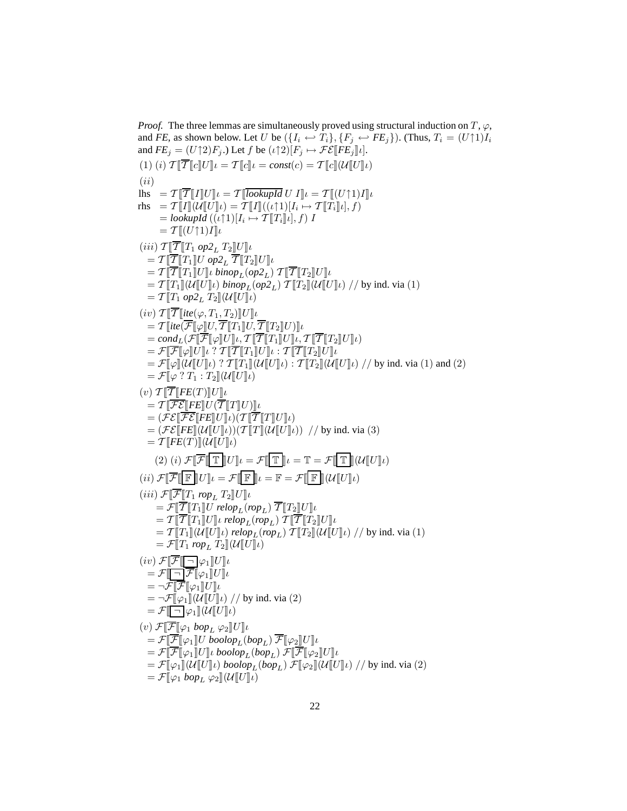*Proof.* The three lemmas are simultaneously proved using structural induction on  $T$ ,  $\varphi$ , and *FE*, as shown below. Let U be  $(\{I_i \leftrightarrow T_i\}, \{F_j \leftrightarrow FE_j\})$ . (Thus,  $T_i = (U \uparrow 1)I_i$ and  $FE_j = (U \uparrow 2)F_j$ .) Let f be  $(\iota \uparrow 2)[F_j \mapsto \mathcal{FE}[[FE_j]]\iota].$ (1) (i)  $\mathcal{T}[\overline{\mathcal{T}}] [c] U] \iota = \mathcal{T}[\overline{c}] \iota = const(c) = \mathcal{T}[\overline{c}](\mathcal{U}[\overline{U}]) \iota$  $(ii)$  $\ln s = T \Vert \overline{T} \Vert I \Vert U \Vert \iota = T \Vert \overline{lookupId} \ U \ I \Vert \iota = T \Vert (U \cap 1) I \Vert \iota$  $\text{rhs} = \mathcal{T}[\![I]\!](\mathcal{U}[\![U]\!]/_l) = \mathcal{T}[\![I]\!](\binom{r}{k}[\![I]\!][I_i \mapsto \mathcal{T}[\![T_i]\!]/_l], f)$  $=$ **lookupId**  $((\iota \uparrow 1)[I_i \mapsto \mathcal{T}[[T_i]]\iota], f)$  I  $= \mathcal{T} \llbracket (U \uparrow 1) I \rrbracket \iota$  $(iii)$   $\mathcal{T}[\overline{\mathcal{T}}[T_1 op2_L T_2]U]\iota$  $= \mathcal{T} \Vert \overline{\mathcal{T}} \Vert T_1 \Vert U \ op2_L \overline{\mathcal{T}} \Vert T_2 \Vert U \Vert U$  $= T \Vert \overline{T} \Vert T_1 \Vert U \Vert \iota \bmod_{L} (op2_{L}) T \Vert \overline{T} \Vert T_2 \Vert U \Vert \iota$  $= \mathcal{T}[[T_1]](\mathcal{U}[[U]]_l)$  *binop*<sub>L</sub>(*op*2<sub>L</sub>)  $\mathcal{T}[[T_2]](\mathcal{U}[[U]]_l)$  // by ind. via (1)  $=\mathcal{T}$   $[T_1 op2_L T_2](\mathcal{U}[U]\iota)$  $(iv)$   $T\Vert \overline{T} \Vert$ *ite* $(\varphi, T_1, T_2) \Vert U \Vert$  $=\mathcal{T}$   $\overline{\text{E}}$ *ite* $\overline{\mathcal{F}}$   $\overline{\mathcal{F}}$   $\overline{\mathcal{F}}$   $\overline{\mathcal{T}}$   $\overline{T}$   $\overline{T}$   $\overline{T}$   $\overline{T}$   $\overline{T}$   $\overline{T}$   $\overline{T}$   $\overline{T}$   $\overline{T}$   $\overline{T}$   $\overline{T}$   $\overline{T}$   $\overline{T}$   $\overline{T}$   $\overline{T}$   $\overline{T}$   $\overline{T}$   $\overline{T}$   $\overline{T}$  $= cond_L(\mathcal{F}[\overline{\mathcal{F}}[\varphi]U]\iota, \mathcal{T}[\overline{\mathcal{T}}[T_1]U]\iota, \mathcal{T}[\overline{\mathcal{T}}[T_2]U]\iota)$  $\mathcal{F} = \mathcal{F}[\overline{\mathcal{F}}[\varphi]\overline{U}]\iota$  ?  $\mathcal{T}[\overline{\mathcal{T}}[T_1]\overline{U}]\iota$  :  $\mathcal{T}[\overline{\mathcal{T}}[T_2]\overline{U}]\iota$  $=\mathcal{F}[\![\varphi]\!](\mathcal{U}[\![U]\!](\iota)$  ?  $\mathcal{T}[\![T_1]\!](\mathcal{U}[\![U]\!](\iota)$  :  $\mathcal{T}[\![T_2]\!](\mathcal{U}[\![U]\!](\iota))$  // by ind. via (1) and (2)  $=\mathcal{F}[\varphi$  ?  $T_1: T_2](\mathcal{U}[[U]]\iota)$  $(v)$   $\mathcal{T}[\overline{\mathcal{T}}[FE(T)]U]$  $= \mathcal{T} \Vert \overline{\mathcal{FE}} \Vert F E \Vert U(\overline{\mathcal{T}} \Vert T \Vert U) \Vert \iota$  $= (\mathcal{FE}[\![\overline{\mathcal{FE}}[\![\overline{\mathit{FE}}]\!]U]\!] \iota)(\mathcal{T}[\![\overline{\mathcal{T}}\mathord{\!|\!|\!|} T]\!]U]\!] \iota)$  $= (\mathcal{FE}$   $\llbracket F \llbracket \mathcal{U} \rrbracket U \rrbracket \mathcal{U}) (\mathcal{T} \llbracket T \rrbracket (\mathcal{U} \llbracket U \rrbracket \mathcal{U}) )$  // by ind. via (3)  $=\mathcal{T}$  $[FE(T)](\mathcal{U}$  $|U|_{l})$ (2) (i)  $\mathcal{F}[\overline{\mathcal{F}}\|\mathbb{T}\|]U\|_l = \mathcal{F}[\overline{\mathbb{T}}\|_l = \mathbb{T} = \mathcal{F}[\overline{\mathbb{T}}\|(\mathcal{U}\|_l)]$  $(ii) \ \mathcal{F}[\overline{\mathcal{F}}\overline{\mathbb{F}}\hspace{-0.2cm}\overline{\mathbb{F}}\hspace{-0.2cm}\overline{\mathbb{F}}\hspace{-0.2cm}\overline{\mathbb{F}}\hspace{-0.2cm}\overline{\mathbb{F}}\hspace{-0.2cm}\overline{\mathbb{F}}\hspace{-0.2cm}\overline{\mathbb{F}}\hspace{-0.2cm}\overline{\mathbb{F}}\hspace{-0.2cm}\overline{\mathbb{F}}\hspace{-0.2cm}\overline{\mathbb{F}}\hspace{-0.2cm}\overline{\mathbb{F}}\hspace{-0.2cm}\overline{\mathbb{F}}\hspace{-0.$  $(iii)$   $\mathcal{F}[\overline{\mathcal{F}}[T_1$  *rop*<sub>L</sub>  $T_2]U]\iota$  $\mathcal{F} = \mathcal{F} \Vert \overline{\mathcal{T}} \Vert T_1 \Vert U \text{ relop}_L (rop_L) \overline{\mathcal{T}} \Vert T_2 \Vert U \Vert U$  $= \mathcal{T}[\![\overline{\mathcal{T}}[\![T_1]\!]/U]\!]$ ι relop<sub>L</sub>(rop<sub>L</sub>)  $\mathcal{T}[\![\overline{\mathcal{T}}[\![T_2]\!]/U]\!]$ ι  $=\mathcal{T}[[T_1]](\mathcal{U}[[U]]_t)$  *relop*<sub>L</sub>(*rop*<sub>L</sub>)  $\mathcal{T}[[T_2]](\mathcal{U}[[U]]_t)$  // by ind. via (1)  $=\mathcal{F}[T_1$  *rop*<sub>L</sub>  $T_2\|(\mathcal{U}[U]\iota)$  $(iv)$   $\mathcal{F}[\overline{\mathcal{F}}[\overline{\neg}]\varphi_1]U\psi$  $=\mathcal{F}$  $\boxed{\Box} \overline{\mathcal{F}}$  $\llbracket \varphi_1 \rrbracket U \rrbracket$  $= \neg \mathcal{F}[\![\mathcal{F}[\![\varphi_1]\!]]U]\!]_U$  $=\neg \mathcal{F}[\varphi_1](\mathcal{U}[[U]]\psi)$  // by ind. via (2)  $=\mathcal{F}$  $\Box$   $\varphi_1 \, \mathcal{U} \, \mathcal{U}$  $\mathcal{U}$  $(v)$   $\mathcal{F}[\overline{\mathcal{F}}[\varphi_1 \; loop_L \; \varphi_2]U]$  $=\mathcal{F}[\overline{\mathcal{F}}[\varphi_1]U \ \text{boolop}_L(\text{bop}_L) \ \overline{\mathcal{F}}[\varphi_2]U]U$  $=\mathcal{F}[\overline{\mathcal{F}}[\varphi_1]U]\iota \text{ }boolop_L(bop_L)\mathcal{F}[\overline{\mathcal{F}}[\varphi_2]U]\iota$  $=\mathcal{F}[\![\varphi_1]\!](\mathcal{U}[\![U]\!])$  *boolop*<sub>L</sub>(*bop*<sub>L</sub>)  $\mathcal{F}[\![\varphi_2]\!](\mathcal{U}[\![U]\!])$  // by ind. via (2)  $=\mathcal{F}[\varphi_1 \; \textit{bop}_L \; \varphi_2](\mathcal{U}[[U]]\iota)$